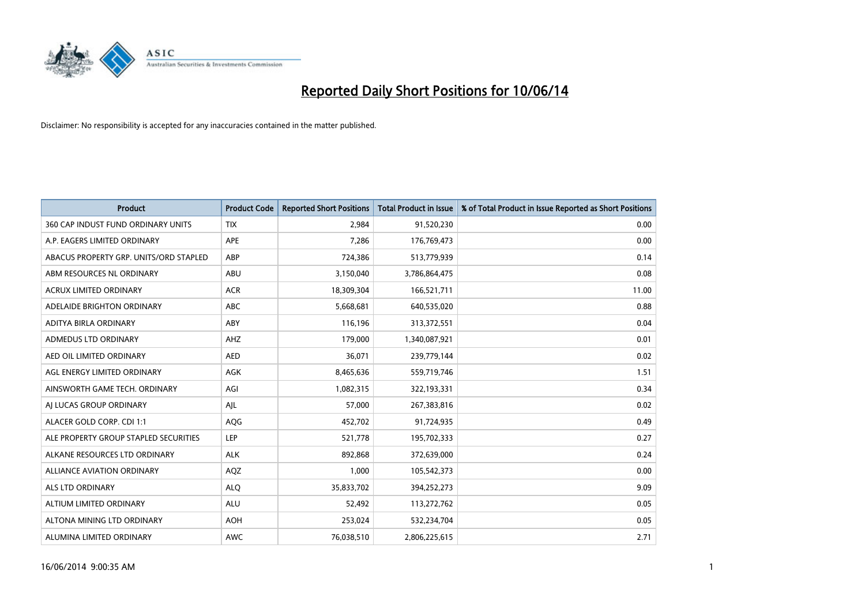

| <b>Product</b>                         | <b>Product Code</b> | <b>Reported Short Positions</b> | <b>Total Product in Issue</b> | % of Total Product in Issue Reported as Short Positions |
|----------------------------------------|---------------------|---------------------------------|-------------------------------|---------------------------------------------------------|
| 360 CAP INDUST FUND ORDINARY UNITS     | <b>TIX</b>          | 2,984                           | 91,520,230                    | 0.00                                                    |
| A.P. EAGERS LIMITED ORDINARY           | APE                 | 7,286                           | 176,769,473                   | 0.00                                                    |
| ABACUS PROPERTY GRP. UNITS/ORD STAPLED | ABP                 | 724,386                         | 513,779,939                   | 0.14                                                    |
| ABM RESOURCES NL ORDINARY              | ABU                 | 3,150,040                       | 3,786,864,475                 | 0.08                                                    |
| <b>ACRUX LIMITED ORDINARY</b>          | <b>ACR</b>          | 18,309,304                      | 166,521,711                   | 11.00                                                   |
| ADELAIDE BRIGHTON ORDINARY             | <b>ABC</b>          | 5,668,681                       | 640,535,020                   | 0.88                                                    |
| ADITYA BIRLA ORDINARY                  | ABY                 | 116,196                         | 313,372,551                   | 0.04                                                    |
| ADMEDUS LTD ORDINARY                   | AHZ                 | 179,000                         | 1,340,087,921                 | 0.01                                                    |
| AED OIL LIMITED ORDINARY               | <b>AED</b>          | 36,071                          | 239,779,144                   | 0.02                                                    |
| AGL ENERGY LIMITED ORDINARY            | <b>AGK</b>          | 8,465,636                       | 559,719,746                   | 1.51                                                    |
| AINSWORTH GAME TECH. ORDINARY          | AGI                 | 1,082,315                       | 322,193,331                   | 0.34                                                    |
| AI LUCAS GROUP ORDINARY                | AJL                 | 57,000                          | 267,383,816                   | 0.02                                                    |
| ALACER GOLD CORP. CDI 1:1              | AQG                 | 452,702                         | 91,724,935                    | 0.49                                                    |
| ALE PROPERTY GROUP STAPLED SECURITIES  | LEP                 | 521,778                         | 195,702,333                   | 0.27                                                    |
| ALKANE RESOURCES LTD ORDINARY          | <b>ALK</b>          | 892,868                         | 372,639,000                   | 0.24                                                    |
| ALLIANCE AVIATION ORDINARY             | AQZ                 | 1,000                           | 105,542,373                   | 0.00                                                    |
| ALS LTD ORDINARY                       | <b>ALO</b>          | 35,833,702                      | 394,252,273                   | 9.09                                                    |
| ALTIUM LIMITED ORDINARY                | <b>ALU</b>          | 52,492                          | 113,272,762                   | 0.05                                                    |
| ALTONA MINING LTD ORDINARY             | <b>AOH</b>          | 253,024                         | 532,234,704                   | 0.05                                                    |
| ALUMINA LIMITED ORDINARY               | <b>AWC</b>          | 76,038,510                      | 2,806,225,615                 | 2.71                                                    |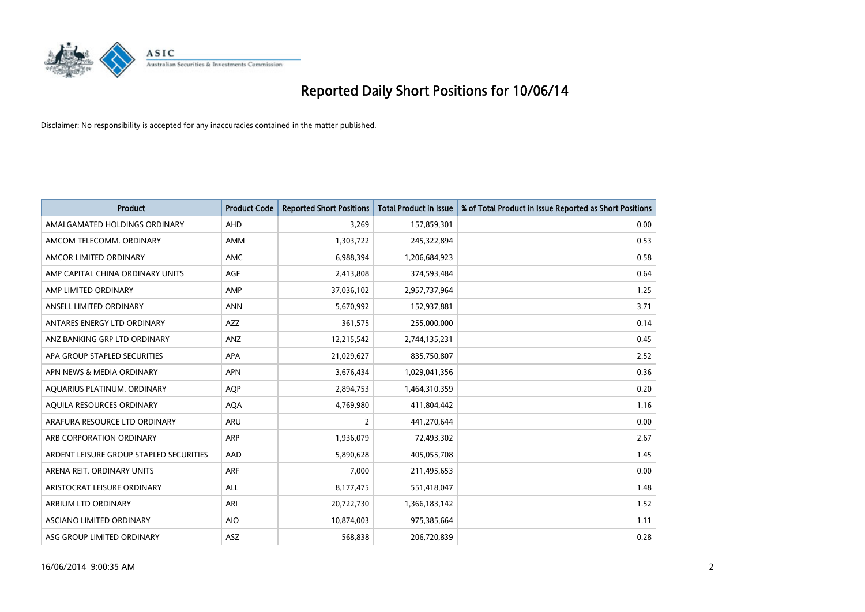

| <b>Product</b>                          | <b>Product Code</b> | <b>Reported Short Positions</b> | <b>Total Product in Issue</b> | % of Total Product in Issue Reported as Short Positions |
|-----------------------------------------|---------------------|---------------------------------|-------------------------------|---------------------------------------------------------|
| AMALGAMATED HOLDINGS ORDINARY           | AHD                 | 3,269                           | 157,859,301                   | 0.00                                                    |
| AMCOM TELECOMM. ORDINARY                | <b>AMM</b>          | 1,303,722                       | 245,322,894                   | 0.53                                                    |
| AMCOR LIMITED ORDINARY                  | AMC                 | 6,988,394                       | 1,206,684,923                 | 0.58                                                    |
| AMP CAPITAL CHINA ORDINARY UNITS        | AGF                 | 2,413,808                       | 374,593,484                   | 0.64                                                    |
| AMP LIMITED ORDINARY                    | AMP                 | 37,036,102                      | 2,957,737,964                 | 1.25                                                    |
| ANSELL LIMITED ORDINARY                 | <b>ANN</b>          | 5,670,992                       | 152,937,881                   | 3.71                                                    |
| ANTARES ENERGY LTD ORDINARY             | <b>AZZ</b>          | 361,575                         | 255,000,000                   | 0.14                                                    |
| ANZ BANKING GRP LTD ORDINARY            | ANZ                 | 12,215,542                      | 2,744,135,231                 | 0.45                                                    |
| APA GROUP STAPLED SECURITIES            | <b>APA</b>          | 21,029,627                      | 835,750,807                   | 2.52                                                    |
| APN NEWS & MEDIA ORDINARY               | <b>APN</b>          | 3,676,434                       | 1,029,041,356                 | 0.36                                                    |
| AQUARIUS PLATINUM. ORDINARY             | <b>AOP</b>          | 2,894,753                       | 1,464,310,359                 | 0.20                                                    |
| AQUILA RESOURCES ORDINARY               | <b>AQA</b>          | 4,769,980                       | 411,804,442                   | 1.16                                                    |
| ARAFURA RESOURCE LTD ORDINARY           | ARU                 | $\overline{2}$                  | 441,270,644                   | 0.00                                                    |
| ARB CORPORATION ORDINARY                | ARP                 | 1,936,079                       | 72,493,302                    | 2.67                                                    |
| ARDENT LEISURE GROUP STAPLED SECURITIES | AAD                 | 5,890,628                       | 405,055,708                   | 1.45                                                    |
| ARENA REIT. ORDINARY UNITS              | <b>ARF</b>          | 7,000                           | 211,495,653                   | 0.00                                                    |
| ARISTOCRAT LEISURE ORDINARY             | <b>ALL</b>          | 8,177,475                       | 551,418,047                   | 1.48                                                    |
| <b>ARRIUM LTD ORDINARY</b>              | ARI                 | 20,722,730                      | 1,366,183,142                 | 1.52                                                    |
| <b>ASCIANO LIMITED ORDINARY</b>         | <b>AIO</b>          | 10,874,003                      | 975,385,664                   | 1.11                                                    |
| ASG GROUP LIMITED ORDINARY              | <b>ASZ</b>          | 568,838                         | 206,720,839                   | 0.28                                                    |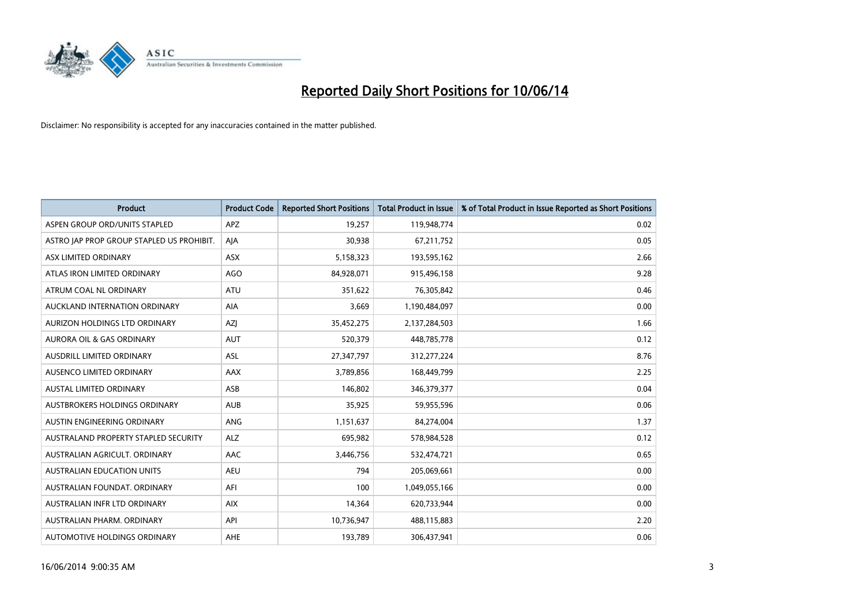

| <b>Product</b>                            | <b>Product Code</b> | <b>Reported Short Positions</b> | <b>Total Product in Issue</b> | % of Total Product in Issue Reported as Short Positions |
|-------------------------------------------|---------------------|---------------------------------|-------------------------------|---------------------------------------------------------|
| ASPEN GROUP ORD/UNITS STAPLED             | <b>APZ</b>          | 19,257                          | 119,948,774                   | 0.02                                                    |
| ASTRO JAP PROP GROUP STAPLED US PROHIBIT. | AJA                 | 30,938                          | 67,211,752                    | 0.05                                                    |
| ASX LIMITED ORDINARY                      | <b>ASX</b>          | 5,158,323                       | 193,595,162                   | 2.66                                                    |
| ATLAS IRON LIMITED ORDINARY               | AGO                 | 84,928,071                      | 915,496,158                   | 9.28                                                    |
| ATRUM COAL NL ORDINARY                    | <b>ATU</b>          | 351,622                         | 76,305,842                    | 0.46                                                    |
| AUCKLAND INTERNATION ORDINARY             | AIA                 | 3,669                           | 1,190,484,097                 | 0.00                                                    |
| AURIZON HOLDINGS LTD ORDINARY             | AZI                 | 35,452,275                      | 2,137,284,503                 | 1.66                                                    |
| <b>AURORA OIL &amp; GAS ORDINARY</b>      | <b>AUT</b>          | 520,379                         | 448,785,778                   | 0.12                                                    |
| AUSDRILL LIMITED ORDINARY                 | <b>ASL</b>          | 27,347,797                      | 312,277,224                   | 8.76                                                    |
| AUSENCO LIMITED ORDINARY                  | AAX                 | 3,789,856                       | 168,449,799                   | 2.25                                                    |
| AUSTAL LIMITED ORDINARY                   | ASB                 | 146,802                         | 346, 379, 377                 | 0.04                                                    |
| <b>AUSTBROKERS HOLDINGS ORDINARY</b>      | <b>AUB</b>          | 35,925                          | 59,955,596                    | 0.06                                                    |
| AUSTIN ENGINEERING ORDINARY               | <b>ANG</b>          | 1,151,637                       | 84,274,004                    | 1.37                                                    |
| AUSTRALAND PROPERTY STAPLED SECURITY      | <b>ALZ</b>          | 695,982                         | 578,984,528                   | 0.12                                                    |
| AUSTRALIAN AGRICULT, ORDINARY             | <b>AAC</b>          | 3,446,756                       | 532,474,721                   | 0.65                                                    |
| AUSTRALIAN EDUCATION UNITS                | <b>AEU</b>          | 794                             | 205,069,661                   | 0.00                                                    |
| AUSTRALIAN FOUNDAT. ORDINARY              | AFI                 | 100                             | 1,049,055,166                 | 0.00                                                    |
| AUSTRALIAN INFR LTD ORDINARY              | <b>AIX</b>          | 14,364                          | 620,733,944                   | 0.00                                                    |
| AUSTRALIAN PHARM, ORDINARY                | API                 | 10,736,947                      | 488,115,883                   | 2.20                                                    |
| AUTOMOTIVE HOLDINGS ORDINARY              | AHE                 | 193,789                         | 306,437,941                   | 0.06                                                    |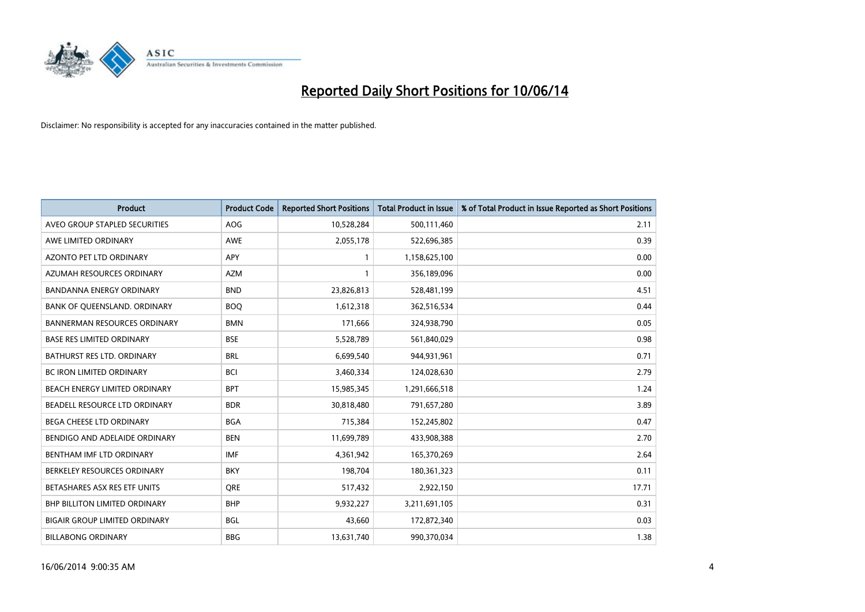

| <b>Product</b>                       | <b>Product Code</b> | <b>Reported Short Positions</b> | <b>Total Product in Issue</b> | % of Total Product in Issue Reported as Short Positions |
|--------------------------------------|---------------------|---------------------------------|-------------------------------|---------------------------------------------------------|
| AVEO GROUP STAPLED SECURITIES        | <b>AOG</b>          | 10,528,284                      | 500,111,460                   | 2.11                                                    |
| AWE LIMITED ORDINARY                 | AWE                 | 2,055,178                       | 522,696,385                   | 0.39                                                    |
| AZONTO PET LTD ORDINARY              | APY                 |                                 | 1,158,625,100                 | 0.00                                                    |
| AZUMAH RESOURCES ORDINARY            | <b>AZM</b>          |                                 | 356,189,096                   | 0.00                                                    |
| <b>BANDANNA ENERGY ORDINARY</b>      | <b>BND</b>          | 23,826,813                      | 528,481,199                   | 4.51                                                    |
| BANK OF QUEENSLAND. ORDINARY         | <b>BOQ</b>          | 1,612,318                       | 362,516,534                   | 0.44                                                    |
| <b>BANNERMAN RESOURCES ORDINARY</b>  | <b>BMN</b>          | 171.666                         | 324,938,790                   | 0.05                                                    |
| <b>BASE RES LIMITED ORDINARY</b>     | <b>BSE</b>          | 5,528,789                       | 561,840,029                   | 0.98                                                    |
| BATHURST RES LTD. ORDINARY           | <b>BRL</b>          | 6,699,540                       | 944,931,961                   | 0.71                                                    |
| <b>BC IRON LIMITED ORDINARY</b>      | <b>BCI</b>          | 3,460,334                       | 124,028,630                   | 2.79                                                    |
| BEACH ENERGY LIMITED ORDINARY        | <b>BPT</b>          | 15,985,345                      | 1,291,666,518                 | 1.24                                                    |
| BEADELL RESOURCE LTD ORDINARY        | <b>BDR</b>          | 30,818,480                      | 791,657,280                   | 3.89                                                    |
| <b>BEGA CHEESE LTD ORDINARY</b>      | <b>BGA</b>          | 715,384                         | 152,245,802                   | 0.47                                                    |
| BENDIGO AND ADELAIDE ORDINARY        | <b>BEN</b>          | 11,699,789                      | 433,908,388                   | 2.70                                                    |
| BENTHAM IMF LTD ORDINARY             | <b>IMF</b>          | 4,361,942                       | 165,370,269                   | 2.64                                                    |
| BERKELEY RESOURCES ORDINARY          | <b>BKY</b>          | 198,704                         | 180,361,323                   | 0.11                                                    |
| BETASHARES ASX RES ETF UNITS         | <b>ORE</b>          | 517,432                         | 2,922,150                     | 17.71                                                   |
| BHP BILLITON LIMITED ORDINARY        | <b>BHP</b>          | 9,932,227                       | 3,211,691,105                 | 0.31                                                    |
| <b>BIGAIR GROUP LIMITED ORDINARY</b> | <b>BGL</b>          | 43,660                          | 172,872,340                   | 0.03                                                    |
| <b>BILLABONG ORDINARY</b>            | <b>BBG</b>          | 13,631,740                      | 990.370.034                   | 1.38                                                    |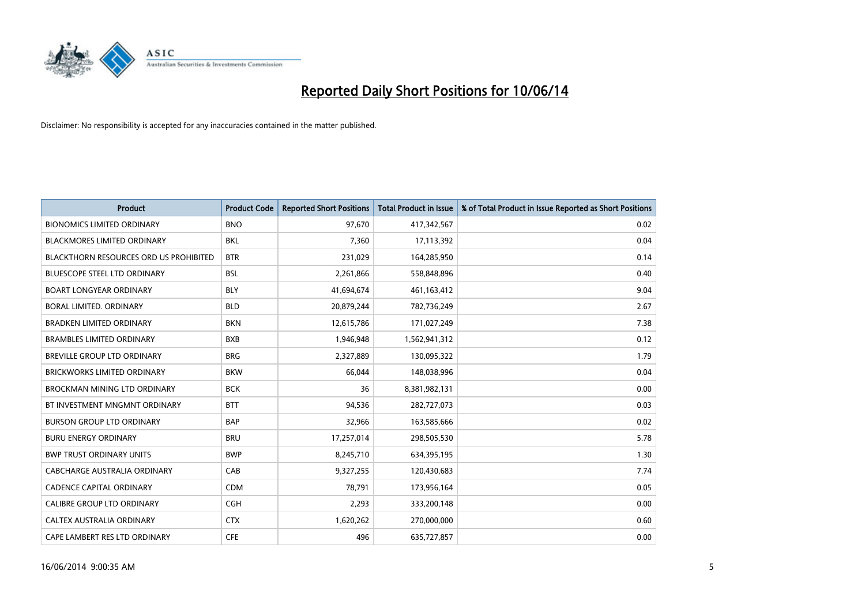

| <b>Product</b>                                | <b>Product Code</b> | <b>Reported Short Positions</b> | Total Product in Issue | % of Total Product in Issue Reported as Short Positions |
|-----------------------------------------------|---------------------|---------------------------------|------------------------|---------------------------------------------------------|
| <b>BIONOMICS LIMITED ORDINARY</b>             | <b>BNO</b>          | 97.670                          | 417,342,567            | 0.02                                                    |
| <b>BLACKMORES LIMITED ORDINARY</b>            | <b>BKL</b>          | 7,360                           | 17,113,392             | 0.04                                                    |
| <b>BLACKTHORN RESOURCES ORD US PROHIBITED</b> | <b>BTR</b>          | 231,029                         | 164,285,950            | 0.14                                                    |
| <b>BLUESCOPE STEEL LTD ORDINARY</b>           | <b>BSL</b>          | 2,261,866                       | 558,848,896            | 0.40                                                    |
| <b>BOART LONGYEAR ORDINARY</b>                | <b>BLY</b>          | 41,694,674                      | 461,163,412            | 9.04                                                    |
| BORAL LIMITED. ORDINARY                       | <b>BLD</b>          | 20,879,244                      | 782,736,249            | 2.67                                                    |
| <b>BRADKEN LIMITED ORDINARY</b>               | <b>BKN</b>          | 12,615,786                      | 171,027,249            | 7.38                                                    |
| <b>BRAMBLES LIMITED ORDINARY</b>              | <b>BXB</b>          | 1,946,948                       | 1,562,941,312          | 0.12                                                    |
| <b>BREVILLE GROUP LTD ORDINARY</b>            | <b>BRG</b>          | 2,327,889                       | 130,095,322            | 1.79                                                    |
| <b>BRICKWORKS LIMITED ORDINARY</b>            | <b>BKW</b>          | 66.044                          | 148,038,996            | 0.04                                                    |
| BROCKMAN MINING LTD ORDINARY                  | <b>BCK</b>          | 36                              | 8,381,982,131          | 0.00                                                    |
| BT INVESTMENT MNGMNT ORDINARY                 | <b>BTT</b>          | 94,536                          | 282,727,073            | 0.03                                                    |
| <b>BURSON GROUP LTD ORDINARY</b>              | <b>BAP</b>          | 32,966                          | 163,585,666            | 0.02                                                    |
| <b>BURU ENERGY ORDINARY</b>                   | <b>BRU</b>          | 17,257,014                      | 298,505,530            | 5.78                                                    |
| <b>BWP TRUST ORDINARY UNITS</b>               | <b>BWP</b>          | 8,245,710                       | 634,395,195            | 1.30                                                    |
| CABCHARGE AUSTRALIA ORDINARY                  | CAB                 | 9,327,255                       | 120,430,683            | 7.74                                                    |
| <b>CADENCE CAPITAL ORDINARY</b>               | <b>CDM</b>          | 78,791                          | 173,956,164            | 0.05                                                    |
| CALIBRE GROUP LTD ORDINARY                    | <b>CGH</b>          | 2,293                           | 333,200,148            | 0.00                                                    |
| <b>CALTEX AUSTRALIA ORDINARY</b>              | <b>CTX</b>          | 1,620,262                       | 270,000,000            | 0.60                                                    |
| CAPE LAMBERT RES LTD ORDINARY                 | <b>CFE</b>          | 496                             | 635,727,857            | 0.00                                                    |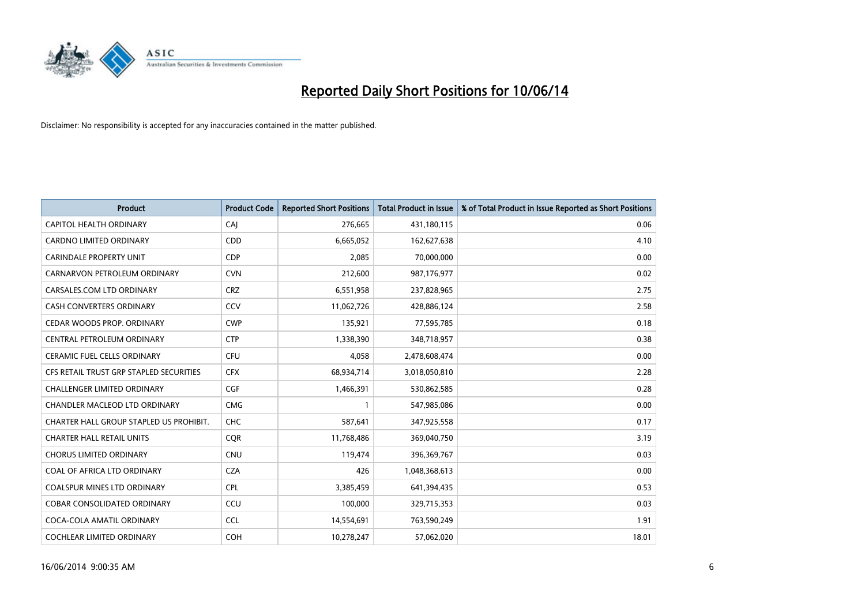

| <b>Product</b>                          | <b>Product Code</b> | <b>Reported Short Positions</b> | <b>Total Product in Issue</b> | % of Total Product in Issue Reported as Short Positions |
|-----------------------------------------|---------------------|---------------------------------|-------------------------------|---------------------------------------------------------|
| CAPITOL HEALTH ORDINARY                 | CAJ                 | 276,665                         | 431,180,115                   | 0.06                                                    |
| CARDNO LIMITED ORDINARY                 | CDD                 | 6,665,052                       | 162,627,638                   | 4.10                                                    |
| <b>CARINDALE PROPERTY UNIT</b>          | <b>CDP</b>          | 2,085                           | 70,000,000                    | 0.00                                                    |
| CARNARVON PETROLEUM ORDINARY            | <b>CVN</b>          | 212,600                         | 987,176,977                   | 0.02                                                    |
| CARSALES.COM LTD ORDINARY               | <b>CRZ</b>          | 6,551,958                       | 237,828,965                   | 2.75                                                    |
| <b>CASH CONVERTERS ORDINARY</b>         | CCV                 | 11,062,726                      | 428,886,124                   | 2.58                                                    |
| <b>CEDAR WOODS PROP. ORDINARY</b>       | <b>CWP</b>          | 135,921                         | 77,595,785                    | 0.18                                                    |
| CENTRAL PETROLEUM ORDINARY              | <b>CTP</b>          | 1,338,390                       | 348,718,957                   | 0.38                                                    |
| <b>CERAMIC FUEL CELLS ORDINARY</b>      | <b>CFU</b>          | 4,058                           | 2,478,608,474                 | 0.00                                                    |
| CFS RETAIL TRUST GRP STAPLED SECURITIES | <b>CFX</b>          | 68,934,714                      | 3,018,050,810                 | 2.28                                                    |
| CHALLENGER LIMITED ORDINARY             | <b>CGF</b>          | 1,466,391                       | 530,862,585                   | 0.28                                                    |
| CHANDLER MACLEOD LTD ORDINARY           | <b>CMG</b>          |                                 | 547,985,086                   | 0.00                                                    |
| CHARTER HALL GROUP STAPLED US PROHIBIT. | <b>CHC</b>          | 587,641                         | 347,925,558                   | 0.17                                                    |
| <b>CHARTER HALL RETAIL UNITS</b>        | <b>COR</b>          | 11,768,486                      | 369,040,750                   | 3.19                                                    |
| <b>CHORUS LIMITED ORDINARY</b>          | <b>CNU</b>          | 119,474                         | 396,369,767                   | 0.03                                                    |
| COAL OF AFRICA LTD ORDINARY             | <b>CZA</b>          | 426                             | 1,048,368,613                 | 0.00                                                    |
| COALSPUR MINES LTD ORDINARY             | <b>CPL</b>          | 3,385,459                       | 641,394,435                   | 0.53                                                    |
| COBAR CONSOLIDATED ORDINARY             | CCU                 | 100,000                         | 329,715,353                   | 0.03                                                    |
| COCA-COLA AMATIL ORDINARY               | <b>CCL</b>          | 14,554,691                      | 763,590,249                   | 1.91                                                    |
| COCHLEAR LIMITED ORDINARY               | <b>COH</b>          | 10,278,247                      | 57,062,020                    | 18.01                                                   |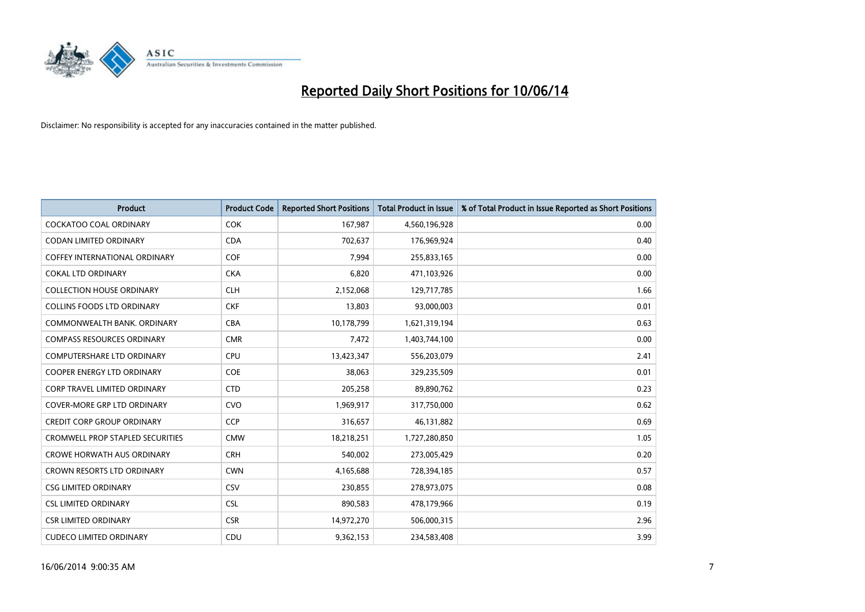

| <b>Product</b>                          | <b>Product Code</b> | <b>Reported Short Positions</b> | <b>Total Product in Issue</b> | % of Total Product in Issue Reported as Short Positions |
|-----------------------------------------|---------------------|---------------------------------|-------------------------------|---------------------------------------------------------|
| <b>COCKATOO COAL ORDINARY</b>           | <b>COK</b>          | 167,987                         | 4,560,196,928                 | 0.00                                                    |
| CODAN LIMITED ORDINARY                  | <b>CDA</b>          | 702,637                         | 176,969,924                   | 0.40                                                    |
| <b>COFFEY INTERNATIONAL ORDINARY</b>    | <b>COF</b>          | 7,994                           | 255,833,165                   | 0.00                                                    |
| <b>COKAL LTD ORDINARY</b>               | <b>CKA</b>          | 6,820                           | 471,103,926                   | 0.00                                                    |
| <b>COLLECTION HOUSE ORDINARY</b>        | <b>CLH</b>          | 2,152,068                       | 129,717,785                   | 1.66                                                    |
| <b>COLLINS FOODS LTD ORDINARY</b>       | <b>CKF</b>          | 13,803                          | 93,000,003                    | 0.01                                                    |
| COMMONWEALTH BANK. ORDINARY             | <b>CBA</b>          | 10,178,799                      | 1,621,319,194                 | 0.63                                                    |
| <b>COMPASS RESOURCES ORDINARY</b>       | <b>CMR</b>          | 7,472                           | 1,403,744,100                 | 0.00                                                    |
| COMPUTERSHARE LTD ORDINARY              | <b>CPU</b>          | 13,423,347                      | 556,203,079                   | 2.41                                                    |
| <b>COOPER ENERGY LTD ORDINARY</b>       | COE                 | 38,063                          | 329,235,509                   | 0.01                                                    |
| <b>CORP TRAVEL LIMITED ORDINARY</b>     | <b>CTD</b>          | 205,258                         | 89,890,762                    | 0.23                                                    |
| <b>COVER-MORE GRP LTD ORDINARY</b>      | <b>CVO</b>          | 1,969,917                       | 317,750,000                   | 0.62                                                    |
| CREDIT CORP GROUP ORDINARY              | <b>CCP</b>          | 316,657                         | 46,131,882                    | 0.69                                                    |
| <b>CROMWELL PROP STAPLED SECURITIES</b> | <b>CMW</b>          | 18,218,251                      | 1,727,280,850                 | 1.05                                                    |
| <b>CROWE HORWATH AUS ORDINARY</b>       | <b>CRH</b>          | 540,002                         | 273,005,429                   | 0.20                                                    |
| CROWN RESORTS LTD ORDINARY              | <b>CWN</b>          | 4,165,688                       | 728,394,185                   | 0.57                                                    |
| <b>CSG LIMITED ORDINARY</b>             | CSV                 | 230,855                         | 278,973,075                   | 0.08                                                    |
| <b>CSL LIMITED ORDINARY</b>             | <b>CSL</b>          | 890,583                         | 478,179,966                   | 0.19                                                    |
| <b>CSR LIMITED ORDINARY</b>             | <b>CSR</b>          | 14,972,270                      | 506,000,315                   | 2.96                                                    |
| <b>CUDECO LIMITED ORDINARY</b>          | CDU                 | 9,362,153                       | 234,583,408                   | 3.99                                                    |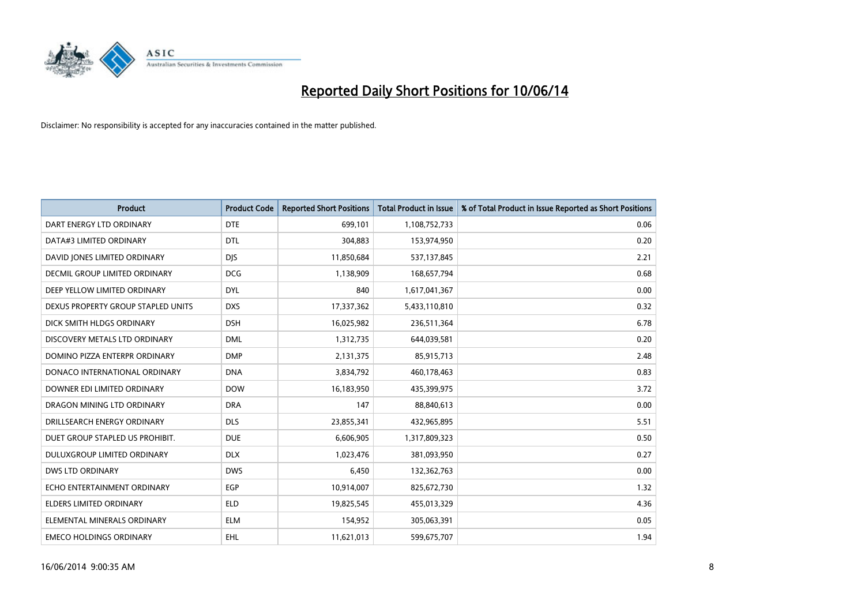

| <b>Product</b>                       | <b>Product Code</b> | <b>Reported Short Positions</b> | <b>Total Product in Issue</b> | % of Total Product in Issue Reported as Short Positions |
|--------------------------------------|---------------------|---------------------------------|-------------------------------|---------------------------------------------------------|
| DART ENERGY LTD ORDINARY             | <b>DTE</b>          | 699,101                         | 1,108,752,733                 | 0.06                                                    |
| DATA#3 LIMITED ORDINARY              | <b>DTL</b>          | 304,883                         | 153,974,950                   | 0.20                                                    |
| DAVID JONES LIMITED ORDINARY         | <b>DJS</b>          | 11,850,684                      | 537,137,845                   | 2.21                                                    |
| <b>DECMIL GROUP LIMITED ORDINARY</b> | <b>DCG</b>          | 1,138,909                       | 168,657,794                   | 0.68                                                    |
| DEEP YELLOW LIMITED ORDINARY         | <b>DYL</b>          | 840                             | 1,617,041,367                 | 0.00                                                    |
| DEXUS PROPERTY GROUP STAPLED UNITS   | <b>DXS</b>          | 17,337,362                      | 5,433,110,810                 | 0.32                                                    |
| DICK SMITH HLDGS ORDINARY            | <b>DSH</b>          | 16,025,982                      | 236,511,364                   | 6.78                                                    |
| DISCOVERY METALS LTD ORDINARY        | <b>DML</b>          | 1,312,735                       | 644,039,581                   | 0.20                                                    |
| DOMINO PIZZA ENTERPR ORDINARY        | <b>DMP</b>          | 2,131,375                       | 85,915,713                    | 2.48                                                    |
| DONACO INTERNATIONAL ORDINARY        | <b>DNA</b>          | 3,834,792                       | 460,178,463                   | 0.83                                                    |
| DOWNER EDI LIMITED ORDINARY          | <b>DOW</b>          | 16,183,950                      | 435,399,975                   | 3.72                                                    |
| DRAGON MINING LTD ORDINARY           | <b>DRA</b>          | 147                             | 88,840,613                    | 0.00                                                    |
| DRILLSEARCH ENERGY ORDINARY          | <b>DLS</b>          | 23,855,341                      | 432,965,895                   | 5.51                                                    |
| DUET GROUP STAPLED US PROHIBIT.      | <b>DUE</b>          | 6,606,905                       | 1,317,809,323                 | 0.50                                                    |
| DULUXGROUP LIMITED ORDINARY          | <b>DLX</b>          | 1,023,476                       | 381,093,950                   | 0.27                                                    |
| <b>DWS LTD ORDINARY</b>              | <b>DWS</b>          | 6,450                           | 132,362,763                   | 0.00                                                    |
| ECHO ENTERTAINMENT ORDINARY          | EGP                 | 10,914,007                      | 825,672,730                   | 1.32                                                    |
| <b>ELDERS LIMITED ORDINARY</b>       | <b>ELD</b>          | 19,825,545                      | 455,013,329                   | 4.36                                                    |
| ELEMENTAL MINERALS ORDINARY          | <b>ELM</b>          | 154,952                         | 305,063,391                   | 0.05                                                    |
| <b>EMECO HOLDINGS ORDINARY</b>       | <b>EHL</b>          | 11,621,013                      | 599,675,707                   | 1.94                                                    |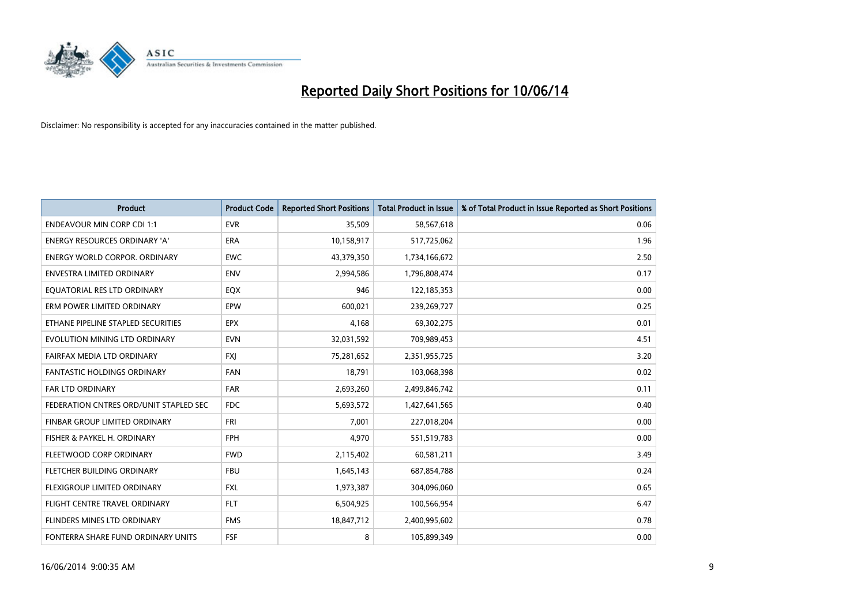

| <b>Product</b>                         | <b>Product Code</b> | <b>Reported Short Positions</b> | <b>Total Product in Issue</b> | % of Total Product in Issue Reported as Short Positions |
|----------------------------------------|---------------------|---------------------------------|-------------------------------|---------------------------------------------------------|
| <b>ENDEAVOUR MIN CORP CDI 1:1</b>      | <b>EVR</b>          | 35,509                          | 58,567,618                    | 0.06                                                    |
| ENERGY RESOURCES ORDINARY 'A'          | <b>ERA</b>          | 10,158,917                      | 517,725,062                   | 1.96                                                    |
| ENERGY WORLD CORPOR, ORDINARY          | <b>EWC</b>          | 43,379,350                      | 1,734,166,672                 | 2.50                                                    |
| ENVESTRA LIMITED ORDINARY              | <b>ENV</b>          | 2,994,586                       | 1,796,808,474                 | 0.17                                                    |
| EOUATORIAL RES LTD ORDINARY            | EQX                 | 946                             | 122,185,353                   | 0.00                                                    |
| ERM POWER LIMITED ORDINARY             | EPW                 | 600,021                         | 239,269,727                   | 0.25                                                    |
| ETHANE PIPELINE STAPLED SECURITIES     | <b>EPX</b>          | 4,168                           | 69,302,275                    | 0.01                                                    |
| EVOLUTION MINING LTD ORDINARY          | <b>EVN</b>          | 32,031,592                      | 709,989,453                   | 4.51                                                    |
| FAIRFAX MEDIA LTD ORDINARY             | <b>FXI</b>          | 75,281,652                      | 2,351,955,725                 | 3.20                                                    |
| <b>FANTASTIC HOLDINGS ORDINARY</b>     | <b>FAN</b>          | 18,791                          | 103,068,398                   | 0.02                                                    |
| FAR LTD ORDINARY                       | <b>FAR</b>          | 2,693,260                       | 2,499,846,742                 | 0.11                                                    |
| FEDERATION CNTRES ORD/UNIT STAPLED SEC | <b>FDC</b>          | 5,693,572                       | 1,427,641,565                 | 0.40                                                    |
| FINBAR GROUP LIMITED ORDINARY          | <b>FRI</b>          | 7,001                           | 227,018,204                   | 0.00                                                    |
| FISHER & PAYKEL H. ORDINARY            | <b>FPH</b>          | 4,970                           | 551,519,783                   | 0.00                                                    |
| FLEETWOOD CORP ORDINARY                | <b>FWD</b>          | 2,115,402                       | 60,581,211                    | 3.49                                                    |
| FLETCHER BUILDING ORDINARY             | <b>FBU</b>          | 1,645,143                       | 687,854,788                   | 0.24                                                    |
| <b>FLEXIGROUP LIMITED ORDINARY</b>     | <b>FXL</b>          | 1,973,387                       | 304,096,060                   | 0.65                                                    |
| FLIGHT CENTRE TRAVEL ORDINARY          | <b>FLT</b>          | 6,504,925                       | 100,566,954                   | 6.47                                                    |
| FLINDERS MINES LTD ORDINARY            | <b>FMS</b>          | 18,847,712                      | 2,400,995,602                 | 0.78                                                    |
| FONTERRA SHARE FUND ORDINARY UNITS     | FSF                 | 8                               | 105,899,349                   | 0.00                                                    |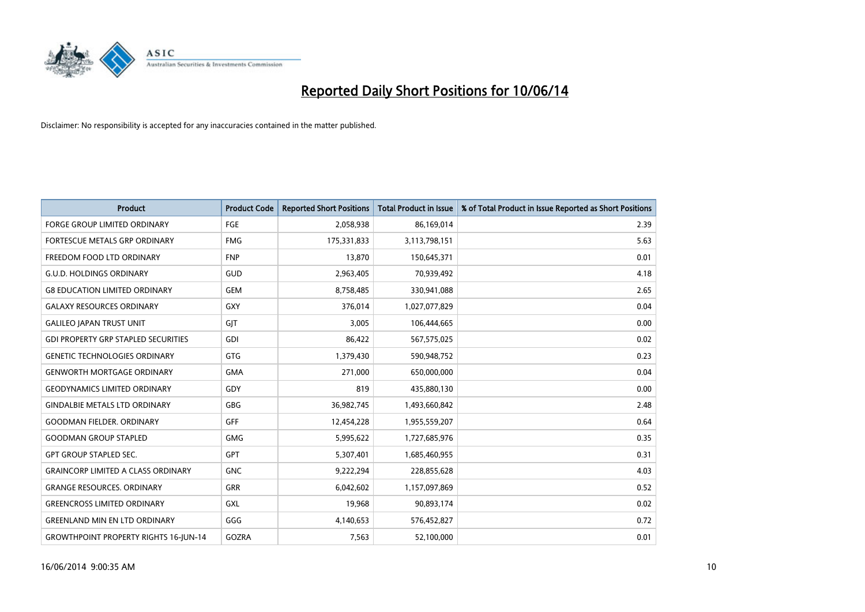

| <b>Product</b>                               | <b>Product Code</b> | <b>Reported Short Positions</b> | <b>Total Product in Issue</b> | % of Total Product in Issue Reported as Short Positions |
|----------------------------------------------|---------------------|---------------------------------|-------------------------------|---------------------------------------------------------|
| <b>FORGE GROUP LIMITED ORDINARY</b>          | FGE                 | 2,058,938                       | 86,169,014                    | 2.39                                                    |
| FORTESCUE METALS GRP ORDINARY                | <b>FMG</b>          | 175,331,833                     | 3,113,798,151                 | 5.63                                                    |
| FREEDOM FOOD LTD ORDINARY                    | <b>FNP</b>          | 13,870                          | 150,645,371                   | 0.01                                                    |
| <b>G.U.D. HOLDINGS ORDINARY</b>              | GUD                 | 2,963,405                       | 70,939,492                    | 4.18                                                    |
| <b>G8 EDUCATION LIMITED ORDINARY</b>         | <b>GEM</b>          | 8,758,485                       | 330,941,088                   | 2.65                                                    |
| <b>GALAXY RESOURCES ORDINARY</b>             | <b>GXY</b>          | 376,014                         | 1,027,077,829                 | 0.04                                                    |
| <b>GALILEO JAPAN TRUST UNIT</b>              | GIT                 | 3,005                           | 106,444,665                   | 0.00                                                    |
| <b>GDI PROPERTY GRP STAPLED SECURITIES</b>   | <b>GDI</b>          | 86,422                          | 567,575,025                   | 0.02                                                    |
| <b>GENETIC TECHNOLOGIES ORDINARY</b>         | <b>GTG</b>          | 1,379,430                       | 590,948,752                   | 0.23                                                    |
| <b>GENWORTH MORTGAGE ORDINARY</b>            | <b>GMA</b>          | 271,000                         | 650,000,000                   | 0.04                                                    |
| <b>GEODYNAMICS LIMITED ORDINARY</b>          | GDY                 | 819                             | 435,880,130                   | 0.00                                                    |
| <b>GINDALBIE METALS LTD ORDINARY</b>         | <b>GBG</b>          | 36,982,745                      | 1,493,660,842                 | 2.48                                                    |
| <b>GOODMAN FIELDER. ORDINARY</b>             | <b>GFF</b>          | 12,454,228                      | 1,955,559,207                 | 0.64                                                    |
| <b>GOODMAN GROUP STAPLED</b>                 | <b>GMG</b>          | 5,995,622                       | 1,727,685,976                 | 0.35                                                    |
| <b>GPT GROUP STAPLED SEC.</b>                | <b>GPT</b>          | 5,307,401                       | 1,685,460,955                 | 0.31                                                    |
| <b>GRAINCORP LIMITED A CLASS ORDINARY</b>    | <b>GNC</b>          | 9,222,294                       | 228,855,628                   | 4.03                                                    |
| <b>GRANGE RESOURCES. ORDINARY</b>            | GRR                 | 6,042,602                       | 1,157,097,869                 | 0.52                                                    |
| <b>GREENCROSS LIMITED ORDINARY</b>           | GXL                 | 19,968                          | 90,893,174                    | 0.02                                                    |
| <b>GREENLAND MIN EN LTD ORDINARY</b>         | GGG                 | 4,140,653                       | 576,452,827                   | 0.72                                                    |
| <b>GROWTHPOINT PROPERTY RIGHTS 16-JUN-14</b> | GOZRA               | 7,563                           | 52,100,000                    | 0.01                                                    |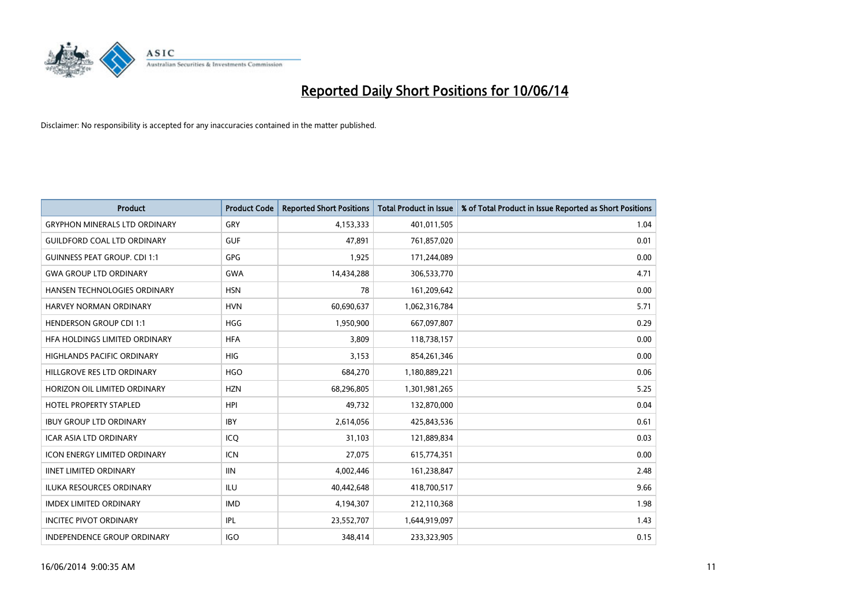

| <b>Product</b>                       | <b>Product Code</b> | <b>Reported Short Positions</b> | <b>Total Product in Issue</b> | % of Total Product in Issue Reported as Short Positions |
|--------------------------------------|---------------------|---------------------------------|-------------------------------|---------------------------------------------------------|
| <b>GRYPHON MINERALS LTD ORDINARY</b> | GRY                 | 4,153,333                       | 401,011,505                   | 1.04                                                    |
| <b>GUILDFORD COAL LTD ORDINARY</b>   | <b>GUF</b>          | 47,891                          | 761,857,020                   | 0.01                                                    |
| <b>GUINNESS PEAT GROUP. CDI 1:1</b>  | <b>GPG</b>          | 1,925                           | 171,244,089                   | 0.00                                                    |
| <b>GWA GROUP LTD ORDINARY</b>        | <b>GWA</b>          | 14,434,288                      | 306,533,770                   | 4.71                                                    |
| HANSEN TECHNOLOGIES ORDINARY         | <b>HSN</b>          | 78                              | 161,209,642                   | 0.00                                                    |
| <b>HARVEY NORMAN ORDINARY</b>        | <b>HVN</b>          | 60,690,637                      | 1,062,316,784                 | 5.71                                                    |
| <b>HENDERSON GROUP CDI 1:1</b>       | <b>HGG</b>          | 1,950,900                       | 667,097,807                   | 0.29                                                    |
| HFA HOLDINGS LIMITED ORDINARY        | <b>HFA</b>          | 3,809                           | 118,738,157                   | 0.00                                                    |
| HIGHLANDS PACIFIC ORDINARY           | <b>HIG</b>          | 3,153                           | 854,261,346                   | 0.00                                                    |
| HILLGROVE RES LTD ORDINARY           | <b>HGO</b>          | 684,270                         | 1,180,889,221                 | 0.06                                                    |
| HORIZON OIL LIMITED ORDINARY         | <b>HZN</b>          | 68,296,805                      | 1,301,981,265                 | 5.25                                                    |
| <b>HOTEL PROPERTY STAPLED</b>        | <b>HPI</b>          | 49,732                          | 132,870,000                   | 0.04                                                    |
| <b>IBUY GROUP LTD ORDINARY</b>       | <b>IBY</b>          | 2,614,056                       | 425,843,536                   | 0.61                                                    |
| <b>ICAR ASIA LTD ORDINARY</b>        | ICO                 | 31,103                          | 121,889,834                   | 0.03                                                    |
| <b>ICON ENERGY LIMITED ORDINARY</b>  | <b>ICN</b>          | 27,075                          | 615,774,351                   | 0.00                                                    |
| <b>IINET LIMITED ORDINARY</b>        | <b>IIN</b>          | 4,002,446                       | 161,238,847                   | 2.48                                                    |
| <b>ILUKA RESOURCES ORDINARY</b>      | ILU                 | 40,442,648                      | 418,700,517                   | 9.66                                                    |
| <b>IMDEX LIMITED ORDINARY</b>        | <b>IMD</b>          | 4,194,307                       | 212,110,368                   | 1.98                                                    |
| <b>INCITEC PIVOT ORDINARY</b>        | IPL                 | 23,552,707                      | 1,644,919,097                 | 1.43                                                    |
| <b>INDEPENDENCE GROUP ORDINARY</b>   | <b>IGO</b>          | 348.414                         | 233,323,905                   | 0.15                                                    |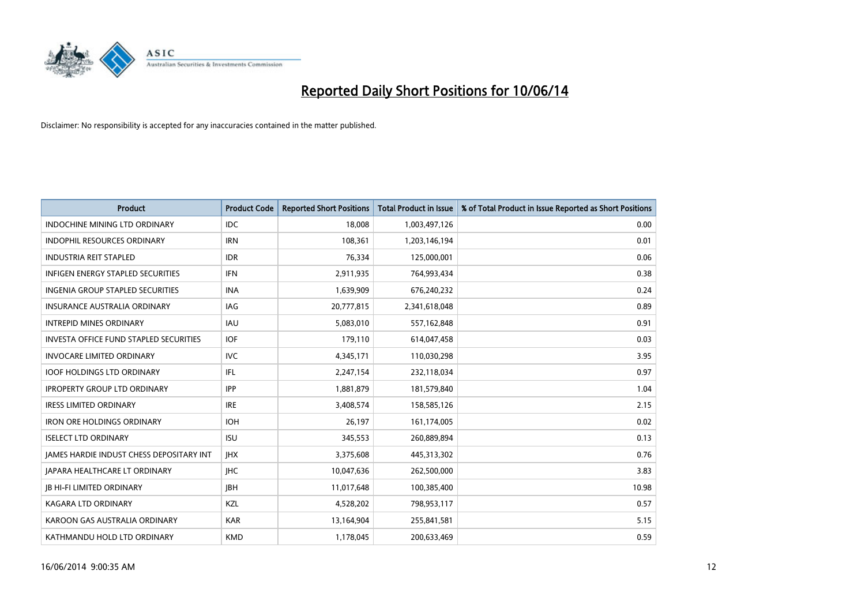

| <b>Product</b>                                  | <b>Product Code</b> | <b>Reported Short Positions</b> | <b>Total Product in Issue</b> | % of Total Product in Issue Reported as Short Positions |
|-------------------------------------------------|---------------------|---------------------------------|-------------------------------|---------------------------------------------------------|
| <b>INDOCHINE MINING LTD ORDINARY</b>            | <b>IDC</b>          | 18,008                          | 1,003,497,126                 | 0.00                                                    |
| INDOPHIL RESOURCES ORDINARY                     | <b>IRN</b>          | 108,361                         | 1,203,146,194                 | 0.01                                                    |
| <b>INDUSTRIA REIT STAPLED</b>                   | <b>IDR</b>          | 76,334                          | 125,000,001                   | 0.06                                                    |
| INFIGEN ENERGY STAPLED SECURITIES               | <b>IFN</b>          | 2,911,935                       | 764,993,434                   | 0.38                                                    |
| <b>INGENIA GROUP STAPLED SECURITIES</b>         | <b>INA</b>          | 1,639,909                       | 676,240,232                   | 0.24                                                    |
| <b>INSURANCE AUSTRALIA ORDINARY</b>             | IAG                 | 20,777,815                      | 2,341,618,048                 | 0.89                                                    |
| <b>INTREPID MINES ORDINARY</b>                  | <b>IAU</b>          | 5,083,010                       | 557,162,848                   | 0.91                                                    |
| <b>INVESTA OFFICE FUND STAPLED SECURITIES</b>   | IOF                 | 179,110                         | 614,047,458                   | 0.03                                                    |
| <b>INVOCARE LIMITED ORDINARY</b>                | <b>IVC</b>          | 4,345,171                       | 110,030,298                   | 3.95                                                    |
| <b>IOOF HOLDINGS LTD ORDINARY</b>               | IFL                 | 2,247,154                       | 232,118,034                   | 0.97                                                    |
| <b>IPROPERTY GROUP LTD ORDINARY</b>             | <b>IPP</b>          | 1,881,879                       | 181,579,840                   | 1.04                                                    |
| <b>IRESS LIMITED ORDINARY</b>                   | <b>IRE</b>          | 3,408,574                       | 158,585,126                   | 2.15                                                    |
| <b>IRON ORE HOLDINGS ORDINARY</b>               | <b>IOH</b>          | 26,197                          | 161,174,005                   | 0.02                                                    |
| <b>ISELECT LTD ORDINARY</b>                     | <b>ISU</b>          | 345,553                         | 260,889,894                   | 0.13                                                    |
| <b>JAMES HARDIE INDUST CHESS DEPOSITARY INT</b> | <b>IHX</b>          | 3,375,608                       | 445,313,302                   | 0.76                                                    |
| <b>JAPARA HEALTHCARE LT ORDINARY</b>            | <b>IHC</b>          | 10,047,636                      | 262,500,000                   | 3.83                                                    |
| <b>JB HI-FI LIMITED ORDINARY</b>                | <b>IBH</b>          | 11,017,648                      | 100,385,400                   | 10.98                                                   |
| <b>KAGARA LTD ORDINARY</b>                      | <b>KZL</b>          | 4,528,202                       | 798,953,117                   | 0.57                                                    |
| KAROON GAS AUSTRALIA ORDINARY                   | <b>KAR</b>          | 13,164,904                      | 255,841,581                   | 5.15                                                    |
| KATHMANDU HOLD LTD ORDINARY                     | <b>KMD</b>          | 1,178,045                       | 200.633.469                   | 0.59                                                    |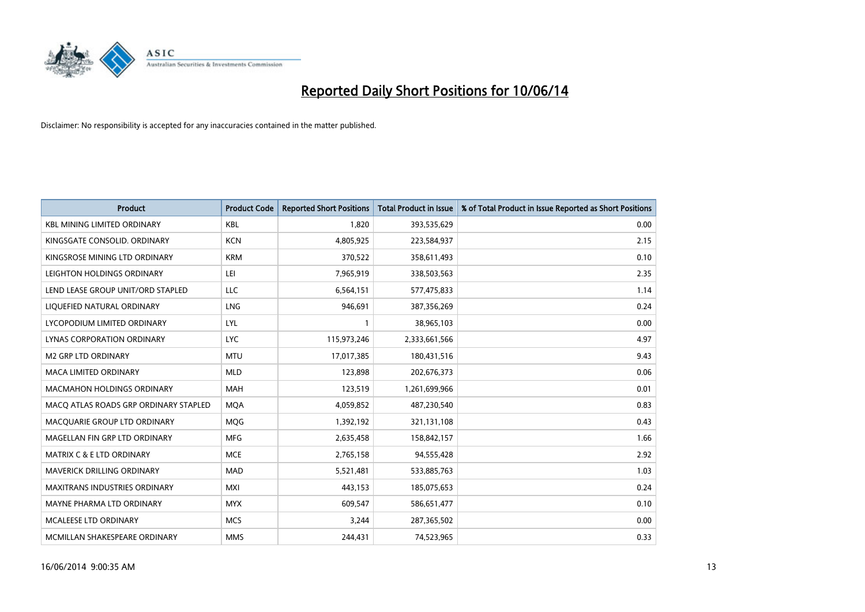

| <b>Product</b>                        | <b>Product Code</b> | <b>Reported Short Positions</b> | Total Product in Issue | % of Total Product in Issue Reported as Short Positions |
|---------------------------------------|---------------------|---------------------------------|------------------------|---------------------------------------------------------|
| <b>KBL MINING LIMITED ORDINARY</b>    | KBL                 | 1.820                           | 393,535,629            | 0.00                                                    |
| KINGSGATE CONSOLID. ORDINARY          | <b>KCN</b>          | 4,805,925                       | 223,584,937            | 2.15                                                    |
| KINGSROSE MINING LTD ORDINARY         | <b>KRM</b>          | 370,522                         | 358,611,493            | 0.10                                                    |
| LEIGHTON HOLDINGS ORDINARY            | LEI                 | 7,965,919                       | 338,503,563            | 2.35                                                    |
| LEND LEASE GROUP UNIT/ORD STAPLED     | <b>LLC</b>          | 6,564,151                       | 577,475,833            | 1.14                                                    |
| LIQUEFIED NATURAL ORDINARY            | <b>LNG</b>          | 946,691                         | 387,356,269            | 0.24                                                    |
| LYCOPODIUM LIMITED ORDINARY           | <b>LYL</b>          |                                 | 38,965,103             | 0.00                                                    |
| LYNAS CORPORATION ORDINARY            | <b>LYC</b>          | 115,973,246                     | 2,333,661,566          | 4.97                                                    |
| M2 GRP LTD ORDINARY                   | <b>MTU</b>          | 17,017,385                      | 180,431,516            | 9.43                                                    |
| <b>MACA LIMITED ORDINARY</b>          | <b>MLD</b>          | 123,898                         | 202,676,373            | 0.06                                                    |
| <b>MACMAHON HOLDINGS ORDINARY</b>     | <b>MAH</b>          | 123,519                         | 1,261,699,966          | 0.01                                                    |
| MACQ ATLAS ROADS GRP ORDINARY STAPLED | <b>MQA</b>          | 4,059,852                       | 487,230,540            | 0.83                                                    |
| MACQUARIE GROUP LTD ORDINARY          | <b>MQG</b>          | 1,392,192                       | 321,131,108            | 0.43                                                    |
| MAGELLAN FIN GRP LTD ORDINARY         | <b>MFG</b>          | 2,635,458                       | 158,842,157            | 1.66                                                    |
| <b>MATRIX C &amp; E LTD ORDINARY</b>  | <b>MCE</b>          | 2,765,158                       | 94,555,428             | 2.92                                                    |
| MAVERICK DRILLING ORDINARY            | <b>MAD</b>          | 5,521,481                       | 533,885,763            | 1.03                                                    |
| <b>MAXITRANS INDUSTRIES ORDINARY</b>  | <b>MXI</b>          | 443,153                         | 185,075,653            | 0.24                                                    |
| MAYNE PHARMA LTD ORDINARY             | <b>MYX</b>          | 609,547                         | 586,651,477            | 0.10                                                    |
| MCALEESE LTD ORDINARY                 | <b>MCS</b>          | 3,244                           | 287,365,502            | 0.00                                                    |
| MCMILLAN SHAKESPEARE ORDINARY         | <b>MMS</b>          | 244.431                         | 74,523,965             | 0.33                                                    |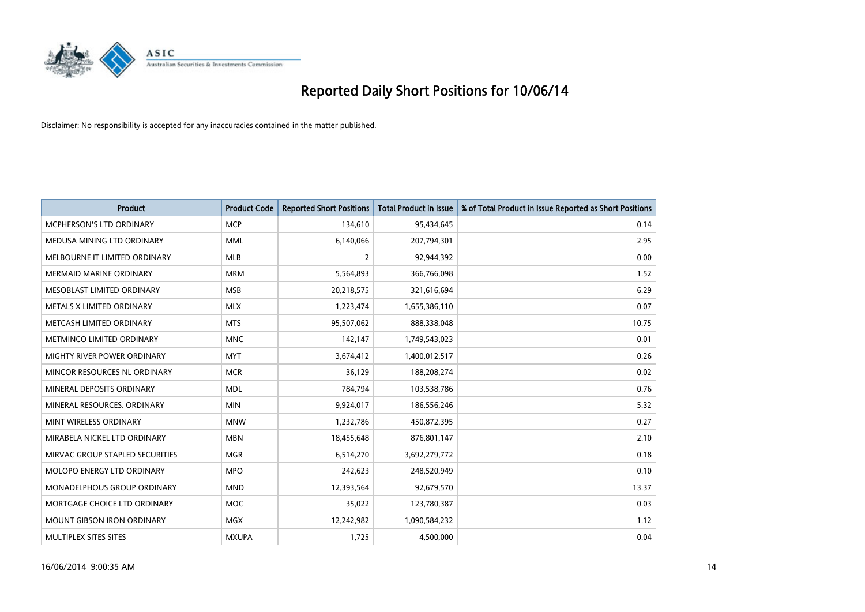

| <b>Product</b>                     | <b>Product Code</b> | <b>Reported Short Positions</b> | <b>Total Product in Issue</b> | % of Total Product in Issue Reported as Short Positions |
|------------------------------------|---------------------|---------------------------------|-------------------------------|---------------------------------------------------------|
| <b>MCPHERSON'S LTD ORDINARY</b>    | <b>MCP</b>          | 134,610                         | 95,434,645                    | 0.14                                                    |
| MEDUSA MINING LTD ORDINARY         | <b>MML</b>          | 6,140,066                       | 207,794,301                   | 2.95                                                    |
| MELBOURNE IT LIMITED ORDINARY      | <b>MLB</b>          | $\overline{2}$                  | 92,944,392                    | 0.00                                                    |
| <b>MERMAID MARINE ORDINARY</b>     | <b>MRM</b>          | 5,564,893                       | 366,766,098                   | 1.52                                                    |
| MESOBLAST LIMITED ORDINARY         | <b>MSB</b>          | 20,218,575                      | 321,616,694                   | 6.29                                                    |
| METALS X LIMITED ORDINARY          | <b>MLX</b>          | 1,223,474                       | 1,655,386,110                 | 0.07                                                    |
| METCASH LIMITED ORDINARY           | <b>MTS</b>          | 95,507,062                      | 888,338,048                   | 10.75                                                   |
| METMINCO LIMITED ORDINARY          | <b>MNC</b>          | 142,147                         | 1,749,543,023                 | 0.01                                                    |
| <b>MIGHTY RIVER POWER ORDINARY</b> | <b>MYT</b>          | 3,674,412                       | 1,400,012,517                 | 0.26                                                    |
| MINCOR RESOURCES NL ORDINARY       | <b>MCR</b>          | 36,129                          | 188,208,274                   | 0.02                                                    |
| MINERAL DEPOSITS ORDINARY          | <b>MDL</b>          | 784,794                         | 103,538,786                   | 0.76                                                    |
| MINERAL RESOURCES, ORDINARY        | <b>MIN</b>          | 9,924,017                       | 186,556,246                   | 5.32                                                    |
| MINT WIRELESS ORDINARY             | <b>MNW</b>          | 1,232,786                       | 450,872,395                   | 0.27                                                    |
| MIRABELA NICKEL LTD ORDINARY       | <b>MBN</b>          | 18,455,648                      | 876,801,147                   | 2.10                                                    |
| MIRVAC GROUP STAPLED SECURITIES    | <b>MGR</b>          | 6,514,270                       | 3,692,279,772                 | 0.18                                                    |
| MOLOPO ENERGY LTD ORDINARY         | <b>MPO</b>          | 242,623                         | 248,520,949                   | 0.10                                                    |
| MONADELPHOUS GROUP ORDINARY        | <b>MND</b>          | 12,393,564                      | 92,679,570                    | 13.37                                                   |
| MORTGAGE CHOICE LTD ORDINARY       | <b>MOC</b>          | 35,022                          | 123,780,387                   | 0.03                                                    |
| <b>MOUNT GIBSON IRON ORDINARY</b>  | <b>MGX</b>          | 12,242,982                      | 1,090,584,232                 | 1.12                                                    |
| MULTIPLEX SITES SITES              | <b>MXUPA</b>        | 1,725                           | 4,500,000                     | 0.04                                                    |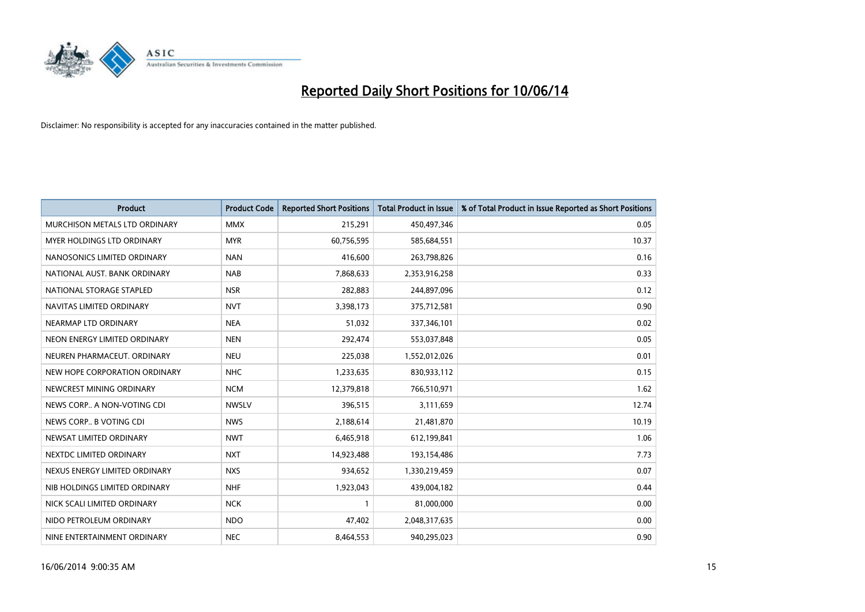

| <b>Product</b>                       | <b>Product Code</b> | <b>Reported Short Positions</b> | <b>Total Product in Issue</b> | % of Total Product in Issue Reported as Short Positions |
|--------------------------------------|---------------------|---------------------------------|-------------------------------|---------------------------------------------------------|
| <b>MURCHISON METALS LTD ORDINARY</b> | <b>MMX</b>          | 215,291                         | 450,497,346                   | 0.05                                                    |
| <b>MYER HOLDINGS LTD ORDINARY</b>    | <b>MYR</b>          | 60,756,595                      | 585,684,551                   | 10.37                                                   |
| NANOSONICS LIMITED ORDINARY          | <b>NAN</b>          | 416,600                         | 263,798,826                   | 0.16                                                    |
| NATIONAL AUST. BANK ORDINARY         | <b>NAB</b>          | 7,868,633                       | 2,353,916,258                 | 0.33                                                    |
| NATIONAL STORAGE STAPLED             | <b>NSR</b>          | 282,883                         | 244,897,096                   | 0.12                                                    |
| NAVITAS LIMITED ORDINARY             | <b>NVT</b>          | 3,398,173                       | 375,712,581                   | 0.90                                                    |
| NEARMAP LTD ORDINARY                 | <b>NEA</b>          | 51,032                          | 337,346,101                   | 0.02                                                    |
| NEON ENERGY LIMITED ORDINARY         | <b>NEN</b>          | 292,474                         | 553,037,848                   | 0.05                                                    |
| NEUREN PHARMACEUT, ORDINARY          | <b>NEU</b>          | 225,038                         | 1,552,012,026                 | 0.01                                                    |
| NEW HOPE CORPORATION ORDINARY        | <b>NHC</b>          | 1,233,635                       | 830,933,112                   | 0.15                                                    |
| NEWCREST MINING ORDINARY             | <b>NCM</b>          | 12,379,818                      | 766,510,971                   | 1.62                                                    |
| NEWS CORP A NON-VOTING CDI           | <b>NWSLV</b>        | 396,515                         | 3,111,659                     | 12.74                                                   |
| NEWS CORP B VOTING CDI               | <b>NWS</b>          | 2,188,614                       | 21,481,870                    | 10.19                                                   |
| NEWSAT LIMITED ORDINARY              | <b>NWT</b>          | 6,465,918                       | 612,199,841                   | 1.06                                                    |
| NEXTDC LIMITED ORDINARY              | <b>NXT</b>          | 14,923,488                      | 193,154,486                   | 7.73                                                    |
| NEXUS ENERGY LIMITED ORDINARY        | <b>NXS</b>          | 934,652                         | 1,330,219,459                 | 0.07                                                    |
| NIB HOLDINGS LIMITED ORDINARY        | <b>NHF</b>          | 1,923,043                       | 439,004,182                   | 0.44                                                    |
| NICK SCALI LIMITED ORDINARY          | <b>NCK</b>          |                                 | 81,000,000                    | 0.00                                                    |
| NIDO PETROLEUM ORDINARY              | <b>NDO</b>          | 47,402                          | 2,048,317,635                 | 0.00                                                    |
| NINE ENTERTAINMENT ORDINARY          | <b>NEC</b>          | 8,464,553                       | 940,295,023                   | 0.90                                                    |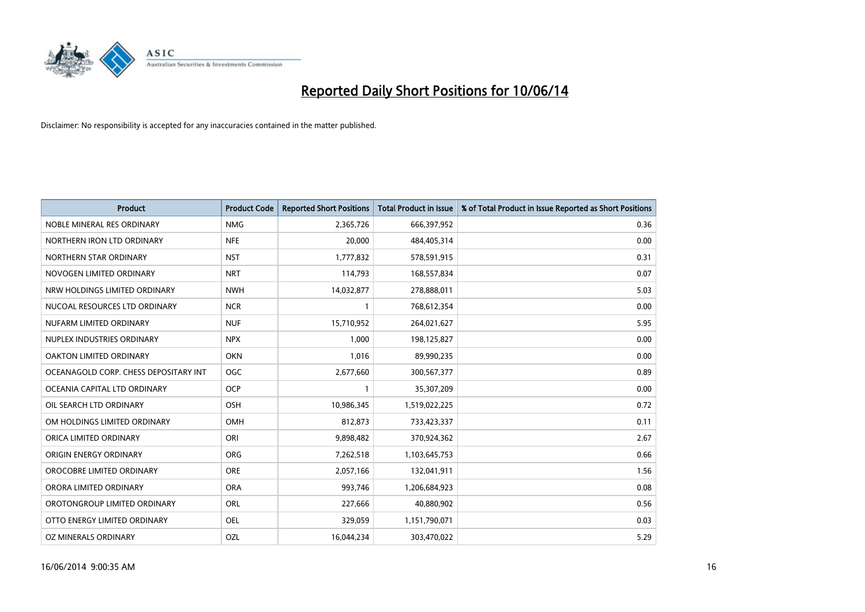

| <b>Product</b>                        | <b>Product Code</b> | <b>Reported Short Positions</b> | <b>Total Product in Issue</b> | % of Total Product in Issue Reported as Short Positions |
|---------------------------------------|---------------------|---------------------------------|-------------------------------|---------------------------------------------------------|
| NOBLE MINERAL RES ORDINARY            | <b>NMG</b>          | 2,365,726                       | 666,397,952                   | 0.36                                                    |
| NORTHERN IRON LTD ORDINARY            | <b>NFE</b>          | 20,000                          | 484,405,314                   | 0.00                                                    |
| NORTHERN STAR ORDINARY                | <b>NST</b>          | 1,777,832                       | 578,591,915                   | 0.31                                                    |
| NOVOGEN LIMITED ORDINARY              | <b>NRT</b>          | 114,793                         | 168,557,834                   | 0.07                                                    |
| NRW HOLDINGS LIMITED ORDINARY         | <b>NWH</b>          | 14,032,877                      | 278,888,011                   | 5.03                                                    |
| NUCOAL RESOURCES LTD ORDINARY         | <b>NCR</b>          |                                 | 768,612,354                   | 0.00                                                    |
| NUFARM LIMITED ORDINARY               | <b>NUF</b>          | 15,710,952                      | 264,021,627                   | 5.95                                                    |
| NUPLEX INDUSTRIES ORDINARY            | <b>NPX</b>          | 1,000                           | 198,125,827                   | 0.00                                                    |
| OAKTON LIMITED ORDINARY               | <b>OKN</b>          | 1,016                           | 89,990,235                    | 0.00                                                    |
| OCEANAGOLD CORP. CHESS DEPOSITARY INT | OGC                 | 2,677,660                       | 300,567,377                   | 0.89                                                    |
| OCEANIA CAPITAL LTD ORDINARY          | <b>OCP</b>          |                                 | 35,307,209                    | 0.00                                                    |
| OIL SEARCH LTD ORDINARY               | OSH                 | 10,986,345                      | 1,519,022,225                 | 0.72                                                    |
| OM HOLDINGS LIMITED ORDINARY          | OMH                 | 812,873                         | 733,423,337                   | 0.11                                                    |
| ORICA LIMITED ORDINARY                | ORI                 | 9,898,482                       | 370,924,362                   | 2.67                                                    |
| ORIGIN ENERGY ORDINARY                | <b>ORG</b>          | 7,262,518                       | 1,103,645,753                 | 0.66                                                    |
| OROCOBRE LIMITED ORDINARY             | <b>ORE</b>          | 2,057,166                       | 132,041,911                   | 1.56                                                    |
| ORORA LIMITED ORDINARY                | <b>ORA</b>          | 993,746                         | 1,206,684,923                 | 0.08                                                    |
| OROTONGROUP LIMITED ORDINARY          | <b>ORL</b>          | 227,666                         | 40,880,902                    | 0.56                                                    |
| OTTO ENERGY LIMITED ORDINARY          | <b>OEL</b>          | 329,059                         | 1,151,790,071                 | 0.03                                                    |
| OZ MINERALS ORDINARY                  | OZL                 | 16,044,234                      | 303,470,022                   | 5.29                                                    |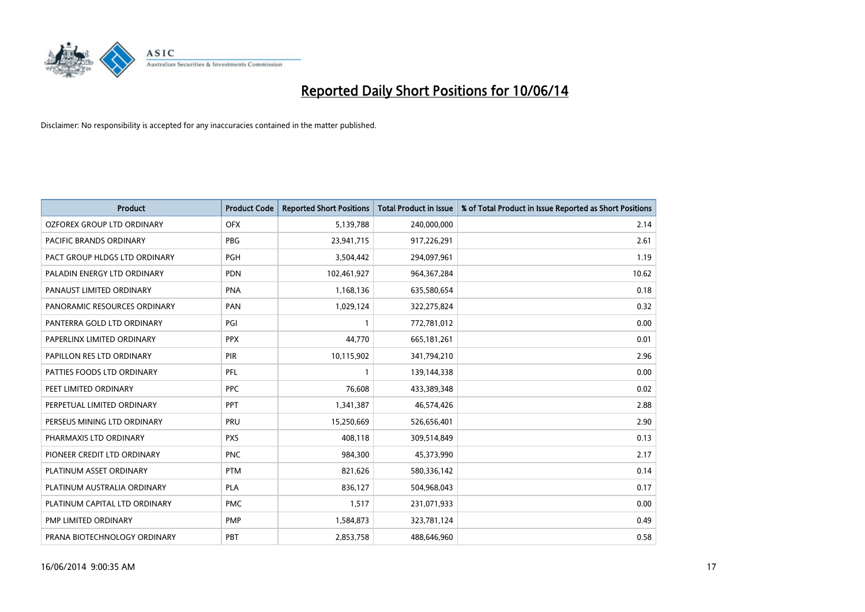

| <b>Product</b>                    | <b>Product Code</b> | <b>Reported Short Positions</b> | <b>Total Product in Issue</b> | % of Total Product in Issue Reported as Short Positions |
|-----------------------------------|---------------------|---------------------------------|-------------------------------|---------------------------------------------------------|
| <b>OZFOREX GROUP LTD ORDINARY</b> | <b>OFX</b>          | 5,139,788                       | 240,000,000                   | 2.14                                                    |
| PACIFIC BRANDS ORDINARY           | <b>PBG</b>          | 23,941,715                      | 917,226,291                   | 2.61                                                    |
| PACT GROUP HLDGS LTD ORDINARY     | <b>PGH</b>          | 3,504,442                       | 294,097,961                   | 1.19                                                    |
| PALADIN ENERGY LTD ORDINARY       | <b>PDN</b>          | 102,461,927                     | 964, 367, 284                 | 10.62                                                   |
| PANAUST LIMITED ORDINARY          | <b>PNA</b>          | 1,168,136                       | 635,580,654                   | 0.18                                                    |
| PANORAMIC RESOURCES ORDINARY      | PAN                 | 1,029,124                       | 322,275,824                   | 0.32                                                    |
| PANTERRA GOLD LTD ORDINARY        | PGI                 |                                 | 772,781,012                   | 0.00                                                    |
| PAPERLINX LIMITED ORDINARY        | <b>PPX</b>          | 44,770                          | 665,181,261                   | 0.01                                                    |
| PAPILLON RES LTD ORDINARY         | <b>PIR</b>          | 10,115,902                      | 341,794,210                   | 2.96                                                    |
| PATTIES FOODS LTD ORDINARY        | PFL                 |                                 | 139,144,338                   | 0.00                                                    |
| PEET LIMITED ORDINARY             | <b>PPC</b>          | 76,608                          | 433,389,348                   | 0.02                                                    |
| PERPETUAL LIMITED ORDINARY        | PPT                 | 1,341,387                       | 46,574,426                    | 2.88                                                    |
| PERSEUS MINING LTD ORDINARY       | PRU                 | 15,250,669                      | 526,656,401                   | 2.90                                                    |
| PHARMAXIS LTD ORDINARY            | <b>PXS</b>          | 408.118                         | 309,514,849                   | 0.13                                                    |
| PIONEER CREDIT LTD ORDINARY       | <b>PNC</b>          | 984,300                         | 45,373,990                    | 2.17                                                    |
| PLATINUM ASSET ORDINARY           | <b>PTM</b>          | 821,626                         | 580,336,142                   | 0.14                                                    |
| PLATINUM AUSTRALIA ORDINARY       | <b>PLA</b>          | 836,127                         | 504,968,043                   | 0.17                                                    |
| PLATINUM CAPITAL LTD ORDINARY     | <b>PMC</b>          | 1,517                           | 231,071,933                   | 0.00                                                    |
| PMP LIMITED ORDINARY              | <b>PMP</b>          | 1,584,873                       | 323,781,124                   | 0.49                                                    |
| PRANA BIOTECHNOLOGY ORDINARY      | PBT                 | 2,853,758                       | 488.646.960                   | 0.58                                                    |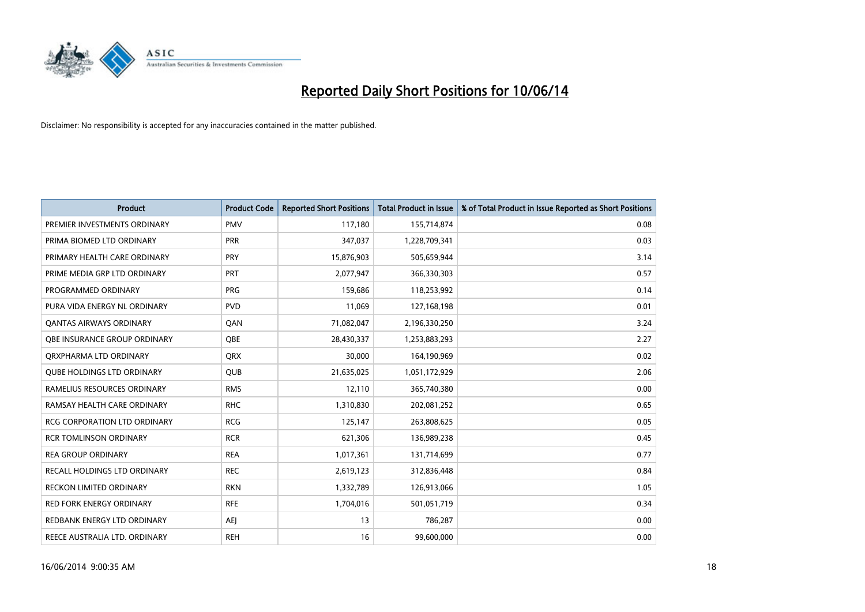

| <b>Product</b>                      | <b>Product Code</b> | <b>Reported Short Positions</b> | Total Product in Issue | % of Total Product in Issue Reported as Short Positions |
|-------------------------------------|---------------------|---------------------------------|------------------------|---------------------------------------------------------|
| PREMIER INVESTMENTS ORDINARY        | <b>PMV</b>          | 117,180                         | 155,714,874            | 0.08                                                    |
| PRIMA BIOMED LTD ORDINARY           | <b>PRR</b>          | 347,037                         | 1,228,709,341          | 0.03                                                    |
| PRIMARY HEALTH CARE ORDINARY        | <b>PRY</b>          | 15,876,903                      | 505,659,944            | 3.14                                                    |
| PRIME MEDIA GRP LTD ORDINARY        | PRT                 | 2,077,947                       | 366,330,303            | 0.57                                                    |
| PROGRAMMED ORDINARY                 | <b>PRG</b>          | 159.686                         | 118,253,992            | 0.14                                                    |
| PURA VIDA ENERGY NL ORDINARY        | <b>PVD</b>          | 11,069                          | 127,168,198            | 0.01                                                    |
| <b>QANTAS AIRWAYS ORDINARY</b>      | QAN                 | 71,082,047                      | 2,196,330,250          | 3.24                                                    |
| OBE INSURANCE GROUP ORDINARY        | <b>OBE</b>          | 28,430,337                      | 1,253,883,293          | 2.27                                                    |
| ORXPHARMA LTD ORDINARY              | <b>QRX</b>          | 30,000                          | 164,190,969            | 0.02                                                    |
| <b>OUBE HOLDINGS LTD ORDINARY</b>   | <b>QUB</b>          | 21,635,025                      | 1,051,172,929          | 2.06                                                    |
| RAMELIUS RESOURCES ORDINARY         | <b>RMS</b>          | 12,110                          | 365,740,380            | 0.00                                                    |
| RAMSAY HEALTH CARE ORDINARY         | <b>RHC</b>          | 1,310,830                       | 202,081,252            | 0.65                                                    |
| <b>RCG CORPORATION LTD ORDINARY</b> | <b>RCG</b>          | 125,147                         | 263,808,625            | 0.05                                                    |
| <b>RCR TOMLINSON ORDINARY</b>       | <b>RCR</b>          | 621,306                         | 136,989,238            | 0.45                                                    |
| <b>REA GROUP ORDINARY</b>           | <b>REA</b>          | 1,017,361                       | 131,714,699            | 0.77                                                    |
| RECALL HOLDINGS LTD ORDINARY        | <b>REC</b>          | 2,619,123                       | 312,836,448            | 0.84                                                    |
| <b>RECKON LIMITED ORDINARY</b>      | <b>RKN</b>          | 1,332,789                       | 126,913,066            | 1.05                                                    |
| <b>RED FORK ENERGY ORDINARY</b>     | <b>RFE</b>          | 1,704,016                       | 501,051,719            | 0.34                                                    |
| REDBANK ENERGY LTD ORDINARY         | AEJ                 | 13                              | 786,287                | 0.00                                                    |
| REECE AUSTRALIA LTD. ORDINARY       | <b>REH</b>          | 16                              | 99,600,000             | 0.00                                                    |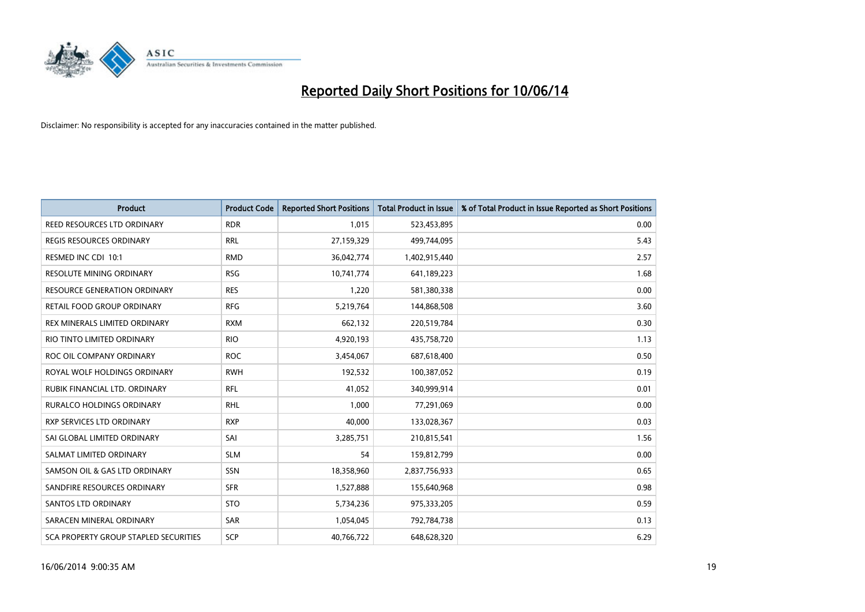

| <b>Product</b>                        | <b>Product Code</b> | <b>Reported Short Positions</b> | <b>Total Product in Issue</b> | % of Total Product in Issue Reported as Short Positions |
|---------------------------------------|---------------------|---------------------------------|-------------------------------|---------------------------------------------------------|
| REED RESOURCES LTD ORDINARY           | <b>RDR</b>          | 1.015                           | 523,453,895                   | 0.00                                                    |
| REGIS RESOURCES ORDINARY              | <b>RRL</b>          | 27,159,329                      | 499,744,095                   | 5.43                                                    |
| RESMED INC CDI 10:1                   | <b>RMD</b>          | 36,042,774                      | 1,402,915,440                 | 2.57                                                    |
| RESOLUTE MINING ORDINARY              | <b>RSG</b>          | 10,741,774                      | 641,189,223                   | 1.68                                                    |
| <b>RESOURCE GENERATION ORDINARY</b>   | <b>RES</b>          | 1,220                           | 581,380,338                   | 0.00                                                    |
| RETAIL FOOD GROUP ORDINARY            | <b>RFG</b>          | 5,219,764                       | 144,868,508                   | 3.60                                                    |
| REX MINERALS LIMITED ORDINARY         | <b>RXM</b>          | 662,132                         | 220,519,784                   | 0.30                                                    |
| RIO TINTO LIMITED ORDINARY            | <b>RIO</b>          | 4,920,193                       | 435,758,720                   | 1.13                                                    |
| ROC OIL COMPANY ORDINARY              | <b>ROC</b>          | 3,454,067                       | 687,618,400                   | 0.50                                                    |
| ROYAL WOLF HOLDINGS ORDINARY          | <b>RWH</b>          | 192,532                         | 100,387,052                   | 0.19                                                    |
| RUBIK FINANCIAL LTD. ORDINARY         | <b>RFL</b>          | 41,052                          | 340,999,914                   | 0.01                                                    |
| <b>RURALCO HOLDINGS ORDINARY</b>      | <b>RHL</b>          | 1,000                           | 77,291,069                    | 0.00                                                    |
| RXP SERVICES LTD ORDINARY             | <b>RXP</b>          | 40,000                          | 133,028,367                   | 0.03                                                    |
| SAI GLOBAL LIMITED ORDINARY           | SAI                 | 3,285,751                       | 210,815,541                   | 1.56                                                    |
| SALMAT LIMITED ORDINARY               | <b>SLM</b>          | 54                              | 159,812,799                   | 0.00                                                    |
| SAMSON OIL & GAS LTD ORDINARY         | SSN                 | 18,358,960                      | 2,837,756,933                 | 0.65                                                    |
| SANDFIRE RESOURCES ORDINARY           | <b>SFR</b>          | 1,527,888                       | 155,640,968                   | 0.98                                                    |
| <b>SANTOS LTD ORDINARY</b>            | <b>STO</b>          | 5,734,236                       | 975,333,205                   | 0.59                                                    |
| SARACEN MINERAL ORDINARY              | <b>SAR</b>          | 1,054,045                       | 792,784,738                   | 0.13                                                    |
| SCA PROPERTY GROUP STAPLED SECURITIES | SCP                 | 40,766,722                      | 648,628,320                   | 6.29                                                    |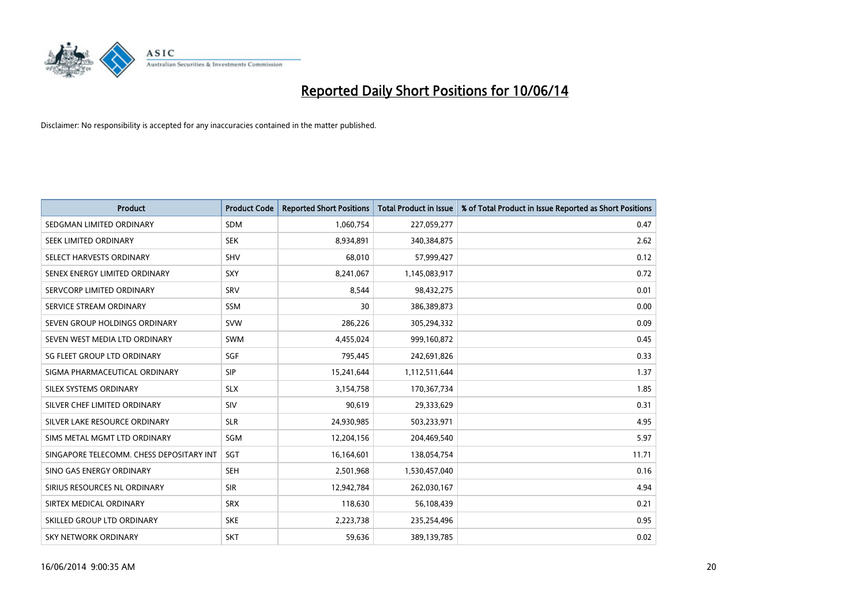

| <b>Product</b>                           | <b>Product Code</b> | <b>Reported Short Positions</b> | <b>Total Product in Issue</b> | % of Total Product in Issue Reported as Short Positions |
|------------------------------------------|---------------------|---------------------------------|-------------------------------|---------------------------------------------------------|
| SEDGMAN LIMITED ORDINARY                 | <b>SDM</b>          | 1,060,754                       | 227,059,277                   | 0.47                                                    |
| SEEK LIMITED ORDINARY                    | <b>SEK</b>          | 8,934,891                       | 340,384,875                   | 2.62                                                    |
| SELECT HARVESTS ORDINARY                 | <b>SHV</b>          | 68,010                          | 57,999,427                    | 0.12                                                    |
| SENEX ENERGY LIMITED ORDINARY            | <b>SXY</b>          | 8,241,067                       | 1,145,083,917                 | 0.72                                                    |
| SERVCORP LIMITED ORDINARY                | SRV                 | 8,544                           | 98,432,275                    | 0.01                                                    |
| SERVICE STREAM ORDINARY                  | <b>SSM</b>          | 30                              | 386,389,873                   | 0.00                                                    |
| SEVEN GROUP HOLDINGS ORDINARY            | <b>SVW</b>          | 286,226                         | 305,294,332                   | 0.09                                                    |
| SEVEN WEST MEDIA LTD ORDINARY            | <b>SWM</b>          | 4,455,024                       | 999,160,872                   | 0.45                                                    |
| SG FLEET GROUP LTD ORDINARY              | SGF                 | 795,445                         | 242,691,826                   | 0.33                                                    |
| SIGMA PHARMACEUTICAL ORDINARY            | <b>SIP</b>          | 15,241,644                      | 1,112,511,644                 | 1.37                                                    |
| SILEX SYSTEMS ORDINARY                   | <b>SLX</b>          | 3,154,758                       | 170,367,734                   | 1.85                                                    |
| SILVER CHEF LIMITED ORDINARY             | SIV                 | 90,619                          | 29,333,629                    | 0.31                                                    |
| SILVER LAKE RESOURCE ORDINARY            | <b>SLR</b>          | 24,930,985                      | 503,233,971                   | 4.95                                                    |
| SIMS METAL MGMT LTD ORDINARY             | SGM                 | 12,204,156                      | 204,469,540                   | 5.97                                                    |
| SINGAPORE TELECOMM. CHESS DEPOSITARY INT | SGT                 | 16,164,601                      | 138,054,754                   | 11.71                                                   |
| SINO GAS ENERGY ORDINARY                 | <b>SEH</b>          | 2,501,968                       | 1,530,457,040                 | 0.16                                                    |
| SIRIUS RESOURCES NL ORDINARY             | <b>SIR</b>          | 12,942,784                      | 262,030,167                   | 4.94                                                    |
| SIRTEX MEDICAL ORDINARY                  | <b>SRX</b>          | 118,630                         | 56,108,439                    | 0.21                                                    |
| SKILLED GROUP LTD ORDINARY               | <b>SKE</b>          | 2,223,738                       | 235,254,496                   | 0.95                                                    |
| SKY NETWORK ORDINARY                     | <b>SKT</b>          | 59,636                          | 389,139,785                   | 0.02                                                    |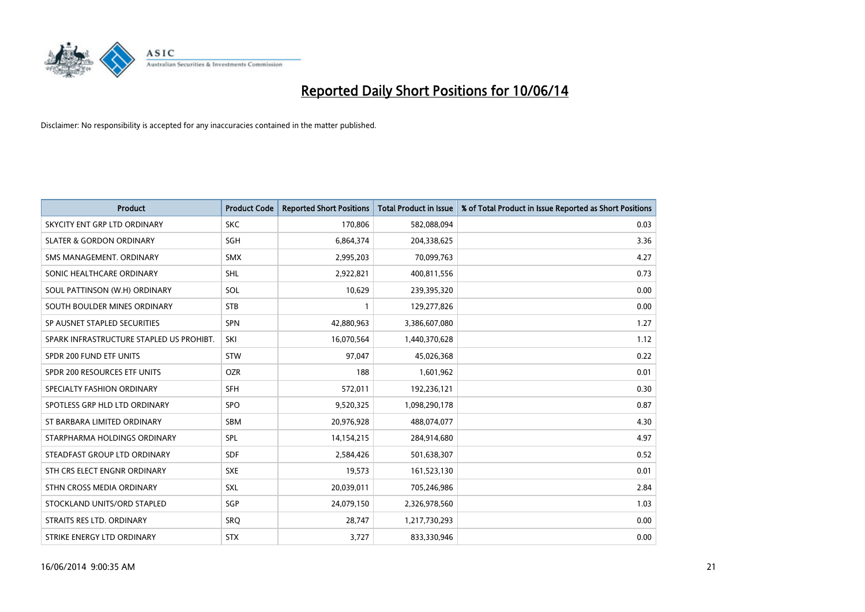

| <b>Product</b>                           | <b>Product Code</b> | <b>Reported Short Positions</b> | <b>Total Product in Issue</b> | % of Total Product in Issue Reported as Short Positions |
|------------------------------------------|---------------------|---------------------------------|-------------------------------|---------------------------------------------------------|
| SKYCITY ENT GRP LTD ORDINARY             | <b>SKC</b>          | 170,806                         | 582,088,094                   | 0.03                                                    |
| <b>SLATER &amp; GORDON ORDINARY</b>      | <b>SGH</b>          | 6,864,374                       | 204,338,625                   | 3.36                                                    |
| SMS MANAGEMENT, ORDINARY                 | <b>SMX</b>          | 2,995,203                       | 70,099,763                    | 4.27                                                    |
| SONIC HEALTHCARE ORDINARY                | <b>SHL</b>          | 2,922,821                       | 400,811,556                   | 0.73                                                    |
| SOUL PATTINSON (W.H) ORDINARY            | SOL                 | 10,629                          | 239,395,320                   | 0.00                                                    |
| SOUTH BOULDER MINES ORDINARY             | <b>STB</b>          |                                 | 129,277,826                   | 0.00                                                    |
| SP AUSNET STAPLED SECURITIES             | <b>SPN</b>          | 42,880,963                      | 3,386,607,080                 | 1.27                                                    |
| SPARK INFRASTRUCTURE STAPLED US PROHIBT. | SKI                 | 16,070,564                      | 1,440,370,628                 | 1.12                                                    |
| SPDR 200 FUND ETF UNITS                  | <b>STW</b>          | 97,047                          | 45,026,368                    | 0.22                                                    |
| SPDR 200 RESOURCES ETF UNITS             | <b>OZR</b>          | 188                             | 1,601,962                     | 0.01                                                    |
| SPECIALTY FASHION ORDINARY               | <b>SFH</b>          | 572,011                         | 192,236,121                   | 0.30                                                    |
| SPOTLESS GRP HLD LTD ORDINARY            | <b>SPO</b>          | 9,520,325                       | 1,098,290,178                 | 0.87                                                    |
| ST BARBARA LIMITED ORDINARY              | <b>SBM</b>          | 20,976,928                      | 488,074,077                   | 4.30                                                    |
| STARPHARMA HOLDINGS ORDINARY             | SPL                 | 14,154,215                      | 284,914,680                   | 4.97                                                    |
| STEADFAST GROUP LTD ORDINARY             | <b>SDF</b>          | 2,584,426                       | 501,638,307                   | 0.52                                                    |
| STH CRS ELECT ENGNR ORDINARY             | <b>SXE</b>          | 19,573                          | 161,523,130                   | 0.01                                                    |
| STHN CROSS MEDIA ORDINARY                | <b>SXL</b>          | 20,039,011                      | 705,246,986                   | 2.84                                                    |
| STOCKLAND UNITS/ORD STAPLED              | SGP                 | 24,079,150                      | 2,326,978,560                 | 1.03                                                    |
| STRAITS RES LTD. ORDINARY                | SRO                 | 28,747                          | 1,217,730,293                 | 0.00                                                    |
| STRIKE ENERGY LTD ORDINARY               | <b>STX</b>          | 3,727                           | 833,330,946                   | 0.00                                                    |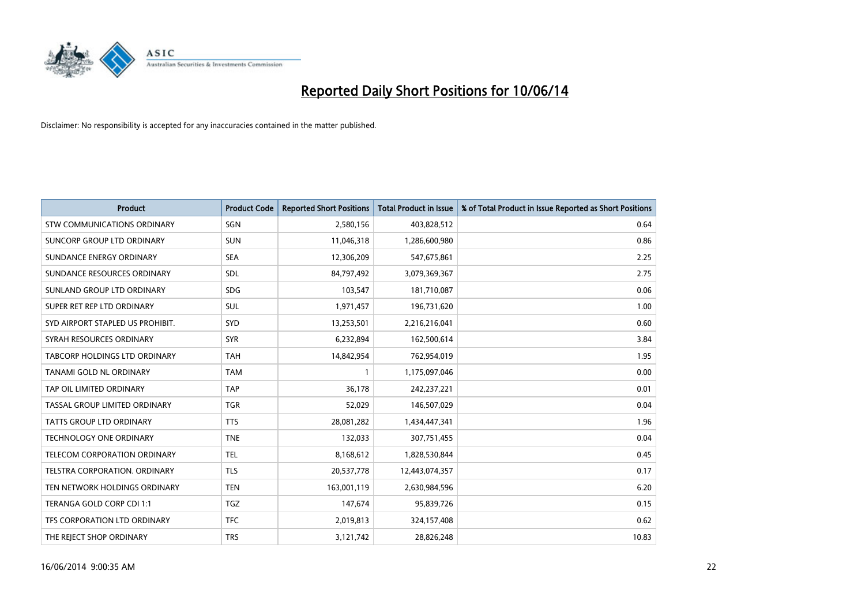

| <b>Product</b>                       | <b>Product Code</b> | <b>Reported Short Positions</b> | <b>Total Product in Issue</b> | % of Total Product in Issue Reported as Short Positions |
|--------------------------------------|---------------------|---------------------------------|-------------------------------|---------------------------------------------------------|
| <b>STW COMMUNICATIONS ORDINARY</b>   | SGN                 | 2,580,156                       | 403,828,512                   | 0.64                                                    |
| SUNCORP GROUP LTD ORDINARY           | <b>SUN</b>          | 11,046,318                      | 1,286,600,980                 | 0.86                                                    |
| SUNDANCE ENERGY ORDINARY             | <b>SEA</b>          | 12,306,209                      | 547,675,861                   | 2.25                                                    |
| SUNDANCE RESOURCES ORDINARY          | <b>SDL</b>          | 84,797,492                      | 3,079,369,367                 | 2.75                                                    |
| SUNLAND GROUP LTD ORDINARY           | <b>SDG</b>          | 103,547                         | 181,710,087                   | 0.06                                                    |
| SUPER RET REP LTD ORDINARY           | <b>SUL</b>          | 1,971,457                       | 196,731,620                   | 1.00                                                    |
| SYD AIRPORT STAPLED US PROHIBIT.     | <b>SYD</b>          | 13,253,501                      | 2,216,216,041                 | 0.60                                                    |
| SYRAH RESOURCES ORDINARY             | <b>SYR</b>          | 6,232,894                       | 162,500,614                   | 3.84                                                    |
| TABCORP HOLDINGS LTD ORDINARY        | <b>TAH</b>          | 14,842,954                      | 762,954,019                   | 1.95                                                    |
| TANAMI GOLD NL ORDINARY              | <b>TAM</b>          |                                 | 1,175,097,046                 | 0.00                                                    |
| TAP OIL LIMITED ORDINARY             | <b>TAP</b>          | 36,178                          | 242,237,221                   | 0.01                                                    |
| <b>TASSAL GROUP LIMITED ORDINARY</b> | <b>TGR</b>          | 52,029                          | 146,507,029                   | 0.04                                                    |
| TATTS GROUP LTD ORDINARY             | <b>TTS</b>          | 28,081,282                      | 1,434,447,341                 | 1.96                                                    |
| TECHNOLOGY ONE ORDINARY              | <b>TNE</b>          | 132,033                         | 307,751,455                   | 0.04                                                    |
| <b>TELECOM CORPORATION ORDINARY</b>  | <b>TEL</b>          | 8,168,612                       | 1,828,530,844                 | 0.45                                                    |
| TELSTRA CORPORATION. ORDINARY        | <b>TLS</b>          | 20,537,778                      | 12,443,074,357                | 0.17                                                    |
| TEN NETWORK HOLDINGS ORDINARY        | <b>TEN</b>          | 163,001,119                     | 2,630,984,596                 | 6.20                                                    |
| TERANGA GOLD CORP CDI 1:1            | <b>TGZ</b>          | 147,674                         | 95,839,726                    | 0.15                                                    |
| TFS CORPORATION LTD ORDINARY         | <b>TFC</b>          | 2,019,813                       | 324,157,408                   | 0.62                                                    |
| THE REJECT SHOP ORDINARY             | <b>TRS</b>          | 3,121,742                       | 28,826,248                    | 10.83                                                   |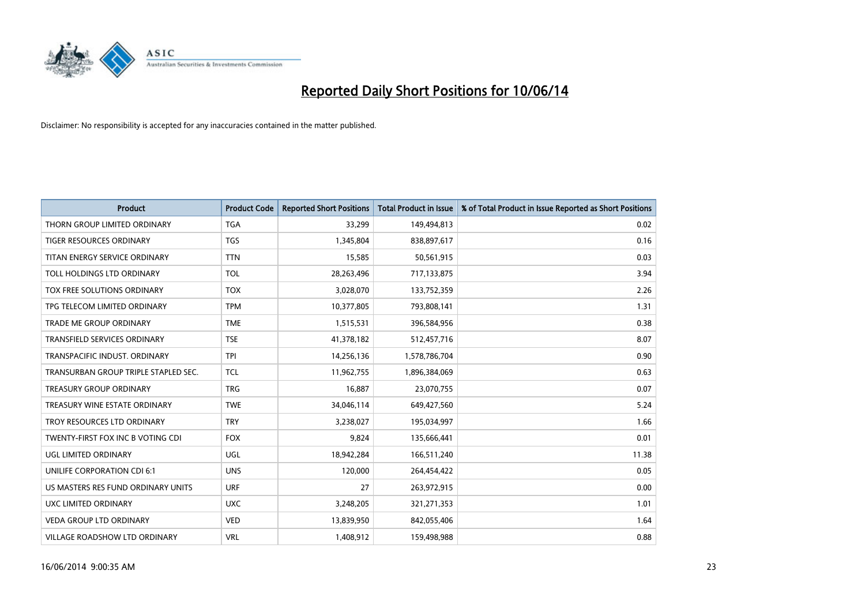

| <b>Product</b>                       | <b>Product Code</b> | <b>Reported Short Positions</b> | Total Product in Issue | % of Total Product in Issue Reported as Short Positions |
|--------------------------------------|---------------------|---------------------------------|------------------------|---------------------------------------------------------|
| THORN GROUP LIMITED ORDINARY         | <b>TGA</b>          | 33,299                          | 149,494,813            | 0.02                                                    |
| TIGER RESOURCES ORDINARY             | <b>TGS</b>          | 1,345,804                       | 838,897,617            | 0.16                                                    |
| TITAN ENERGY SERVICE ORDINARY        | <b>TTN</b>          | 15,585                          | 50,561,915             | 0.03                                                    |
| TOLL HOLDINGS LTD ORDINARY           | <b>TOL</b>          | 28,263,496                      | 717,133,875            | 3.94                                                    |
| TOX FREE SOLUTIONS ORDINARY          | <b>TOX</b>          | 3,028,070                       | 133,752,359            | 2.26                                                    |
| TPG TELECOM LIMITED ORDINARY         | <b>TPM</b>          | 10,377,805                      | 793,808,141            | 1.31                                                    |
| <b>TRADE ME GROUP ORDINARY</b>       | <b>TME</b>          | 1,515,531                       | 396,584,956            | 0.38                                                    |
| TRANSFIELD SERVICES ORDINARY         | <b>TSE</b>          | 41,378,182                      | 512,457,716            | 8.07                                                    |
| TRANSPACIFIC INDUST. ORDINARY        | <b>TPI</b>          | 14,256,136                      | 1,578,786,704          | 0.90                                                    |
| TRANSURBAN GROUP TRIPLE STAPLED SEC. | <b>TCL</b>          | 11,962,755                      | 1,896,384,069          | 0.63                                                    |
| <b>TREASURY GROUP ORDINARY</b>       | <b>TRG</b>          | 16,887                          | 23,070,755             | 0.07                                                    |
| TREASURY WINE ESTATE ORDINARY        | <b>TWE</b>          | 34,046,114                      | 649,427,560            | 5.24                                                    |
| TROY RESOURCES LTD ORDINARY          | <b>TRY</b>          | 3,238,027                       | 195,034,997            | 1.66                                                    |
| TWENTY-FIRST FOX INC B VOTING CDI    | <b>FOX</b>          | 9,824                           | 135,666,441            | 0.01                                                    |
| UGL LIMITED ORDINARY                 | <b>UGL</b>          | 18,942,284                      | 166,511,240            | 11.38                                                   |
| UNILIFE CORPORATION CDI 6:1          | <b>UNS</b>          | 120,000                         | 264,454,422            | 0.05                                                    |
| US MASTERS RES FUND ORDINARY UNITS   | <b>URF</b>          | 27                              | 263,972,915            | 0.00                                                    |
| UXC LIMITED ORDINARY                 | <b>UXC</b>          | 3,248,205                       | 321,271,353            | 1.01                                                    |
| <b>VEDA GROUP LTD ORDINARY</b>       | <b>VED</b>          | 13,839,950                      | 842,055,406            | 1.64                                                    |
| <b>VILLAGE ROADSHOW LTD ORDINARY</b> | <b>VRL</b>          | 1,408,912                       | 159,498,988            | 0.88                                                    |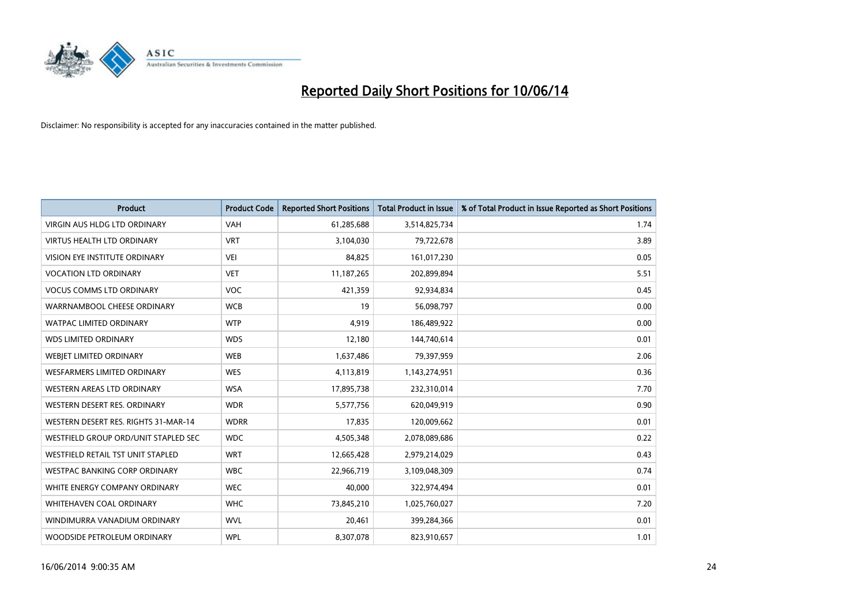

| <b>Product</b>                       | <b>Product Code</b> | <b>Reported Short Positions</b> | <b>Total Product in Issue</b> | % of Total Product in Issue Reported as Short Positions |
|--------------------------------------|---------------------|---------------------------------|-------------------------------|---------------------------------------------------------|
| <b>VIRGIN AUS HLDG LTD ORDINARY</b>  | <b>VAH</b>          | 61,285,688                      | 3,514,825,734                 | 1.74                                                    |
| <b>VIRTUS HEALTH LTD ORDINARY</b>    | <b>VRT</b>          | 3,104,030                       | 79,722,678                    | 3.89                                                    |
| <b>VISION EYE INSTITUTE ORDINARY</b> | VEI                 | 84.825                          | 161,017,230                   | 0.05                                                    |
| <b>VOCATION LTD ORDINARY</b>         | <b>VET</b>          | 11,187,265                      | 202,899,894                   | 5.51                                                    |
| <b>VOCUS COMMS LTD ORDINARY</b>      | <b>VOC</b>          | 421,359                         | 92,934,834                    | 0.45                                                    |
| WARRNAMBOOL CHEESE ORDINARY          | <b>WCB</b>          | 19                              | 56,098,797                    | 0.00                                                    |
| <b>WATPAC LIMITED ORDINARY</b>       | <b>WTP</b>          | 4.919                           | 186,489,922                   | 0.00                                                    |
| <b>WDS LIMITED ORDINARY</b>          | <b>WDS</b>          | 12,180                          | 144,740,614                   | 0.01                                                    |
| WEBJET LIMITED ORDINARY              | <b>WEB</b>          | 1,637,486                       | 79,397,959                    | 2.06                                                    |
| <b>WESFARMERS LIMITED ORDINARY</b>   | <b>WES</b>          | 4,113,819                       | 1,143,274,951                 | 0.36                                                    |
| WESTERN AREAS LTD ORDINARY           | <b>WSA</b>          | 17,895,738                      | 232,310,014                   | 7.70                                                    |
| WESTERN DESERT RES. ORDINARY         | <b>WDR</b>          | 5,577,756                       | 620,049,919                   | 0.90                                                    |
| WESTERN DESERT RES. RIGHTS 31-MAR-14 | <b>WDRR</b>         | 17,835                          | 120,009,662                   | 0.01                                                    |
| WESTFIELD GROUP ORD/UNIT STAPLED SEC | <b>WDC</b>          | 4,505,348                       | 2,078,089,686                 | 0.22                                                    |
| WESTFIELD RETAIL TST UNIT STAPLED    | <b>WRT</b>          | 12,665,428                      | 2,979,214,029                 | 0.43                                                    |
| WESTPAC BANKING CORP ORDINARY        | <b>WBC</b>          | 22,966,719                      | 3,109,048,309                 | 0.74                                                    |
| WHITE ENERGY COMPANY ORDINARY        | <b>WEC</b>          | 40,000                          | 322,974,494                   | 0.01                                                    |
| <b>WHITEHAVEN COAL ORDINARY</b>      | <b>WHC</b>          | 73,845,210                      | 1,025,760,027                 | 7.20                                                    |
| WINDIMURRA VANADIUM ORDINARY         | <b>WVL</b>          | 20,461                          | 399,284,366                   | 0.01                                                    |
| WOODSIDE PETROLEUM ORDINARY          | <b>WPL</b>          | 8,307,078                       | 823,910,657                   | 1.01                                                    |